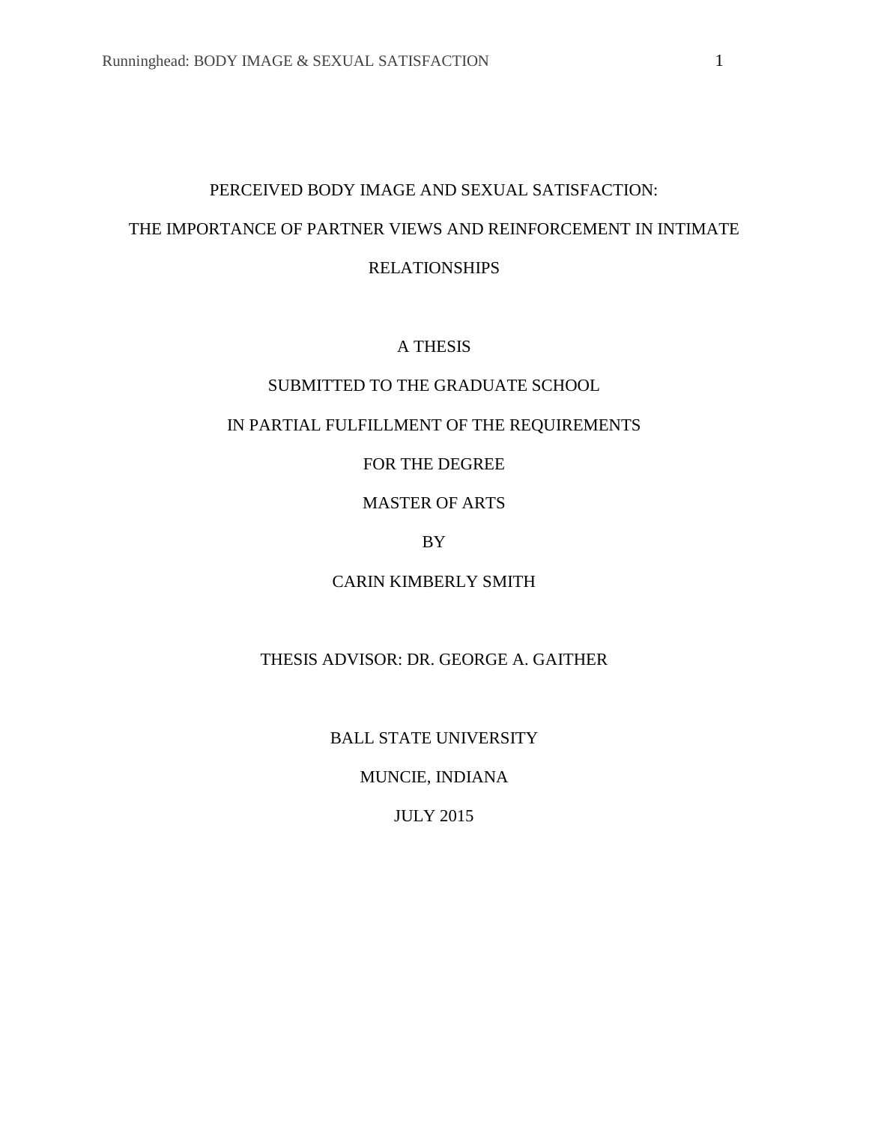# PERCEIVED BODY IMAGE AND SEXUAL SATISFACTION: THE IMPORTANCE OF PARTNER VIEWS AND REINFORCEMENT IN INTIMATE RELATIONSHIPS

# A THESIS

# SUBMITTED TO THE GRADUATE SCHOOL

# IN PARTIAL FULFILLMENT OF THE REQUIREMENTS

# FOR THE DEGREE

# MASTER OF ARTS

# BY

# CARIN KIMBERLY SMITH

# THESIS ADVISOR: DR. GEORGE A. GAITHER

# BALL STATE UNIVERSITY

# MUNCIE, INDIANA

# JULY 2015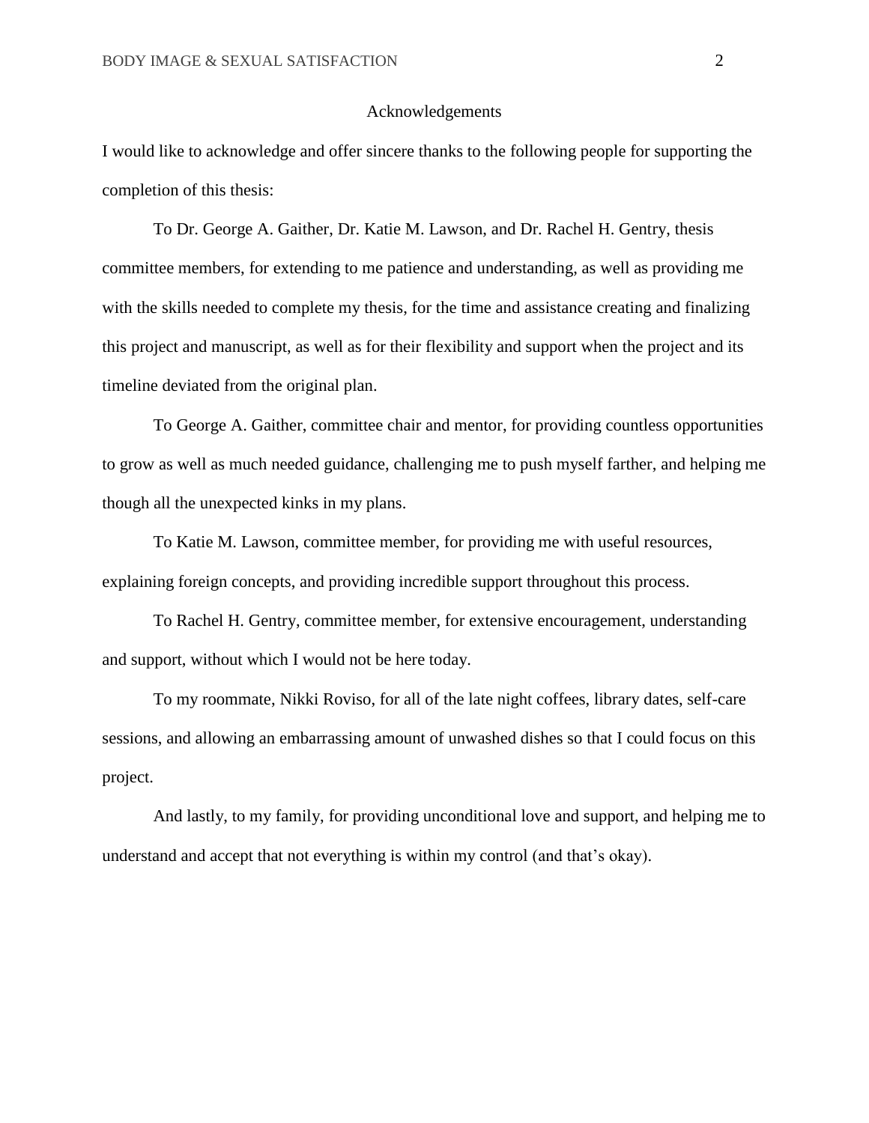#### Acknowledgements

I would like to acknowledge and offer sincere thanks to the following people for supporting the completion of this thesis:

To Dr. George A. Gaither, Dr. Katie M. Lawson, and Dr. Rachel H. Gentry, thesis committee members, for extending to me patience and understanding, as well as providing me with the skills needed to complete my thesis, for the time and assistance creating and finalizing this project and manuscript, as well as for their flexibility and support when the project and its timeline deviated from the original plan.

To George A. Gaither, committee chair and mentor, for providing countless opportunities to grow as well as much needed guidance, challenging me to push myself farther, and helping me though all the unexpected kinks in my plans.

To Katie M. Lawson, committee member, for providing me with useful resources, explaining foreign concepts, and providing incredible support throughout this process.

To Rachel H. Gentry, committee member, for extensive encouragement, understanding and support, without which I would not be here today.

To my roommate, Nikki Roviso, for all of the late night coffees, library dates, self-care sessions, and allowing an embarrassing amount of unwashed dishes so that I could focus on this project.

And lastly, to my family, for providing unconditional love and support, and helping me to understand and accept that not everything is within my control (and that's okay).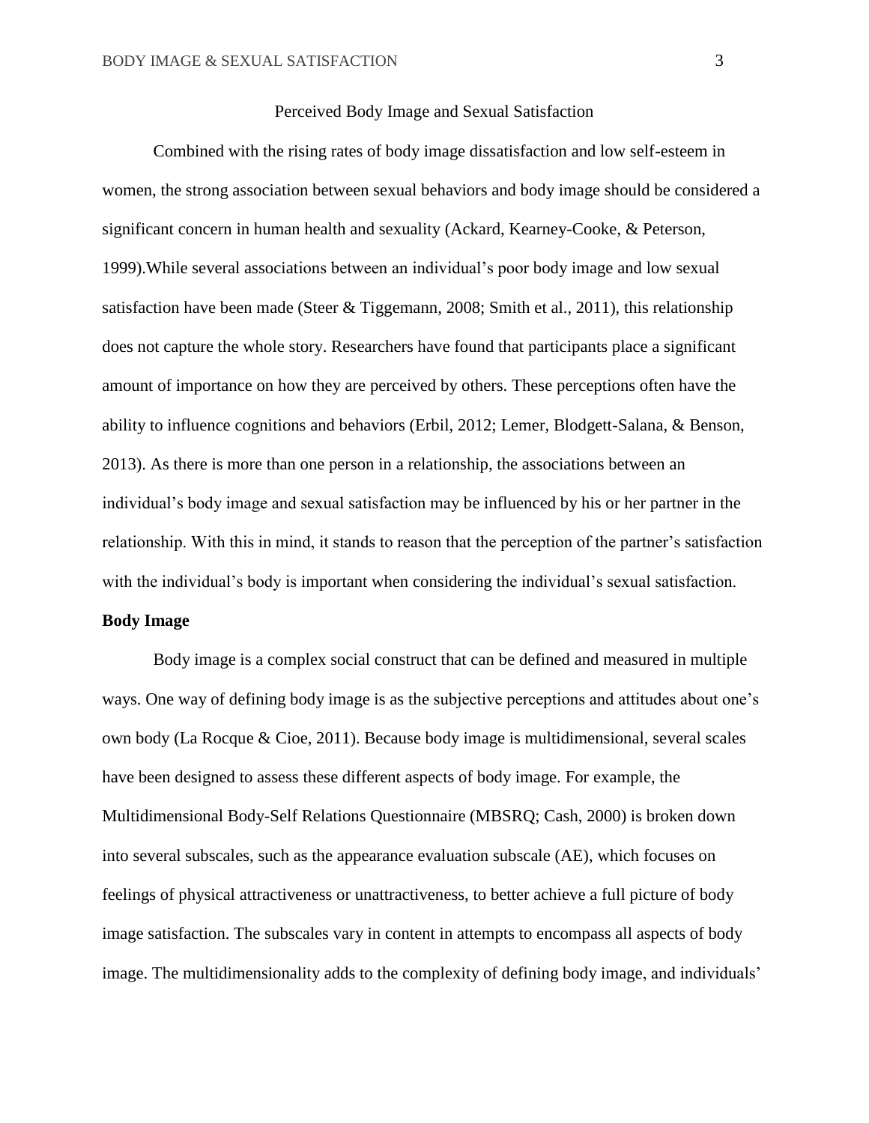#### Perceived Body Image and Sexual Satisfaction

Combined with the rising rates of body image dissatisfaction and low self-esteem in women, the strong association between sexual behaviors and body image should be considered a significant concern in human health and sexuality (Ackard, Kearney-Cooke, & Peterson, 1999).While several associations between an individual's poor body image and low sexual satisfaction have been made (Steer & Tiggemann, 2008; Smith et al., 2011), this relationship does not capture the whole story. Researchers have found that participants place a significant amount of importance on how they are perceived by others. These perceptions often have the ability to influence cognitions and behaviors (Erbil, 2012; Lemer, Blodgett-Salana, & Benson, 2013). As there is more than one person in a relationship, the associations between an individual's body image and sexual satisfaction may be influenced by his or her partner in the relationship. With this in mind, it stands to reason that the perception of the partner's satisfaction with the individual's body is important when considering the individual's sexual satisfaction.

## **Body Image**

Body image is a complex social construct that can be defined and measured in multiple ways. One way of defining body image is as the subjective perceptions and attitudes about one's own body (La Rocque & Cioe, 2011). Because body image is multidimensional, several scales have been designed to assess these different aspects of body image. For example, the Multidimensional Body-Self Relations Questionnaire (MBSRQ; Cash, 2000) is broken down into several subscales, such as the appearance evaluation subscale (AE), which focuses on feelings of physical attractiveness or unattractiveness, to better achieve a full picture of body image satisfaction. The subscales vary in content in attempts to encompass all aspects of body image. The multidimensionality adds to the complexity of defining body image, and individuals'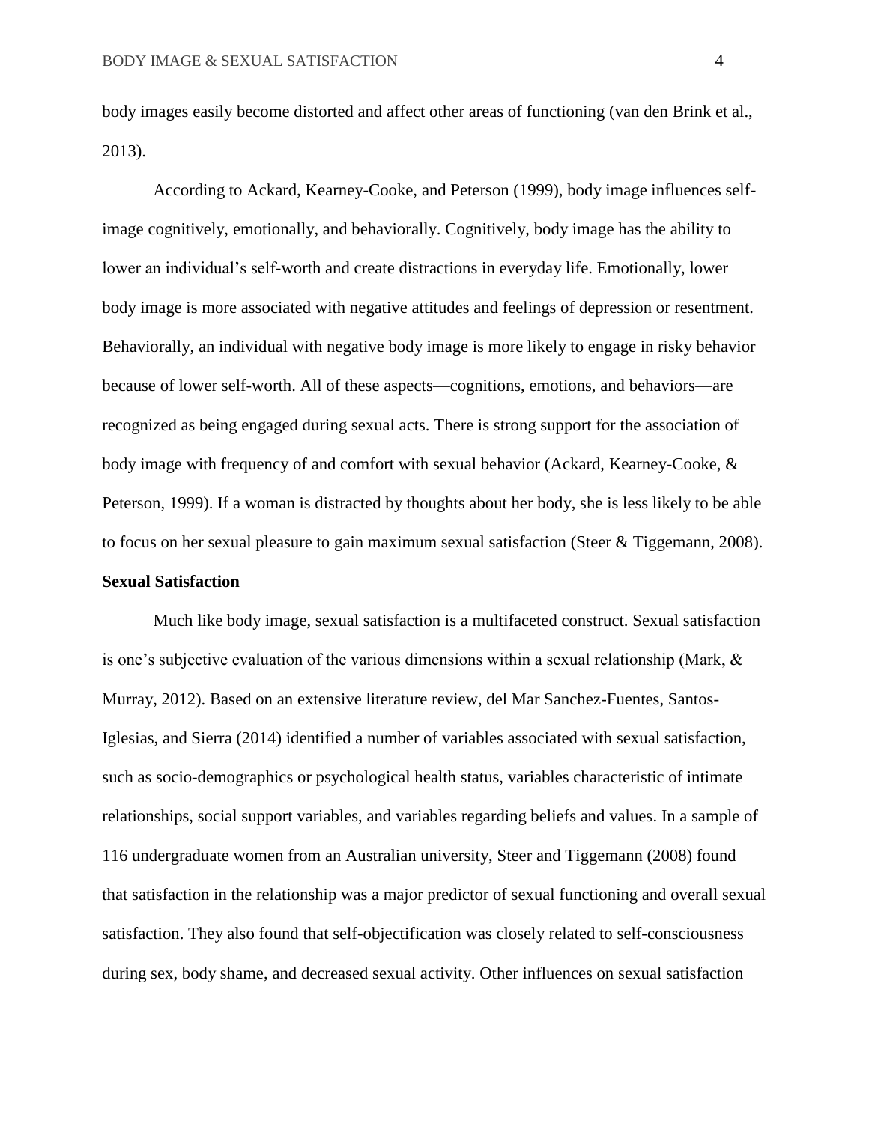body images easily become distorted and affect other areas of functioning (van den Brink et al., 2013).

According to Ackard, Kearney-Cooke, and Peterson (1999), body image influences selfimage cognitively, emotionally, and behaviorally. Cognitively, body image has the ability to lower an individual's self-worth and create distractions in everyday life. Emotionally, lower body image is more associated with negative attitudes and feelings of depression or resentment. Behaviorally, an individual with negative body image is more likely to engage in risky behavior because of lower self-worth. All of these aspects—cognitions, emotions, and behaviors—are recognized as being engaged during sexual acts. There is strong support for the association of body image with frequency of and comfort with sexual behavior (Ackard, Kearney-Cooke, & Peterson, 1999). If a woman is distracted by thoughts about her body, she is less likely to be able to focus on her sexual pleasure to gain maximum sexual satisfaction (Steer & Tiggemann, 2008). **Sexual Satisfaction**

Much like body image, sexual satisfaction is a multifaceted construct. Sexual satisfaction is one's subjective evaluation of the various dimensions within a sexual relationship (Mark,  $\&$ Murray, 2012). Based on an extensive literature review, del Mar Sanchez-Fuentes, Santos-Iglesias, and Sierra (2014) identified a number of variables associated with sexual satisfaction, such as socio-demographics or psychological health status, variables characteristic of intimate relationships, social support variables, and variables regarding beliefs and values. In a sample of 116 undergraduate women from an Australian university, Steer and Tiggemann (2008) found that satisfaction in the relationship was a major predictor of sexual functioning and overall sexual satisfaction. They also found that self-objectification was closely related to self-consciousness during sex, body shame, and decreased sexual activity. Other influences on sexual satisfaction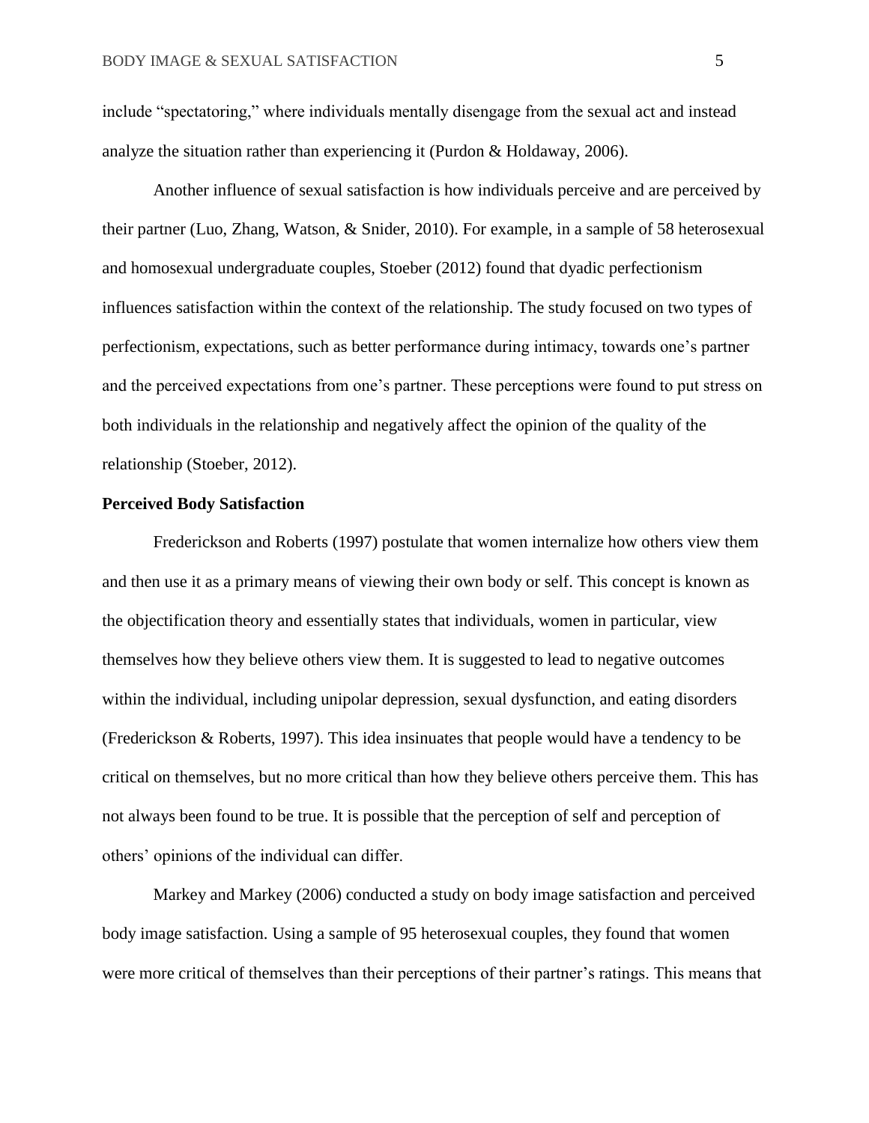include "spectatoring," where individuals mentally disengage from the sexual act and instead analyze the situation rather than experiencing it (Purdon & Holdaway, 2006).

Another influence of sexual satisfaction is how individuals perceive and are perceived by their partner (Luo, Zhang, Watson, & Snider, 2010). For example, in a sample of 58 heterosexual and homosexual undergraduate couples, Stoeber (2012) found that dyadic perfectionism influences satisfaction within the context of the relationship. The study focused on two types of perfectionism, expectations, such as better performance during intimacy, towards one's partner and the perceived expectations from one's partner. These perceptions were found to put stress on both individuals in the relationship and negatively affect the opinion of the quality of the relationship (Stoeber, 2012).

#### **Perceived Body Satisfaction**

Frederickson and Roberts (1997) postulate that women internalize how others view them and then use it as a primary means of viewing their own body or self. This concept is known as the objectification theory and essentially states that individuals, women in particular, view themselves how they believe others view them. It is suggested to lead to negative outcomes within the individual, including unipolar depression, sexual dysfunction, and eating disorders (Frederickson & Roberts, 1997). This idea insinuates that people would have a tendency to be critical on themselves, but no more critical than how they believe others perceive them. This has not always been found to be true. It is possible that the perception of self and perception of others' opinions of the individual can differ.

 Markey and Markey (2006) conducted a study on body image satisfaction and perceived body image satisfaction. Using a sample of 95 heterosexual couples, they found that women were more critical of themselves than their perceptions of their partner's ratings. This means that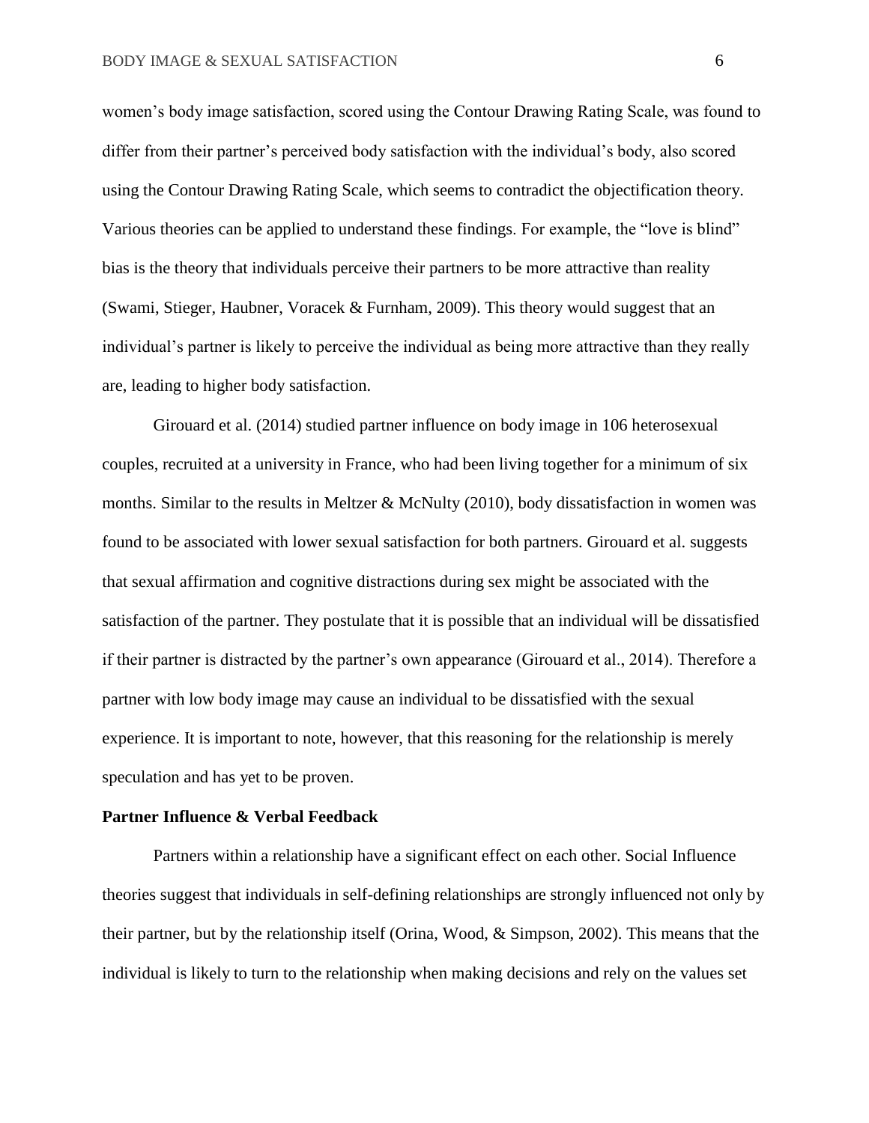women's body image satisfaction, scored using the Contour Drawing Rating Scale, was found to differ from their partner's perceived body satisfaction with the individual's body, also scored using the Contour Drawing Rating Scale, which seems to contradict the objectification theory. Various theories can be applied to understand these findings. For example, the "love is blind" bias is the theory that individuals perceive their partners to be more attractive than reality (Swami, Stieger, Haubner, Voracek & Furnham, 2009). This theory would suggest that an individual's partner is likely to perceive the individual as being more attractive than they really are, leading to higher body satisfaction.

Girouard et al. (2014) studied partner influence on body image in 106 heterosexual couples, recruited at a university in France, who had been living together for a minimum of six months. Similar to the results in Meltzer & McNulty (2010), body dissatisfaction in women was found to be associated with lower sexual satisfaction for both partners. Girouard et al. suggests that sexual affirmation and cognitive distractions during sex might be associated with the satisfaction of the partner. They postulate that it is possible that an individual will be dissatisfied if their partner is distracted by the partner's own appearance (Girouard et al., 2014). Therefore a partner with low body image may cause an individual to be dissatisfied with the sexual experience. It is important to note, however, that this reasoning for the relationship is merely speculation and has yet to be proven.

#### **Partner Influence & Verbal Feedback**

Partners within a relationship have a significant effect on each other. Social Influence theories suggest that individuals in self-defining relationships are strongly influenced not only by their partner, but by the relationship itself (Orina, Wood, & Simpson, 2002). This means that the individual is likely to turn to the relationship when making decisions and rely on the values set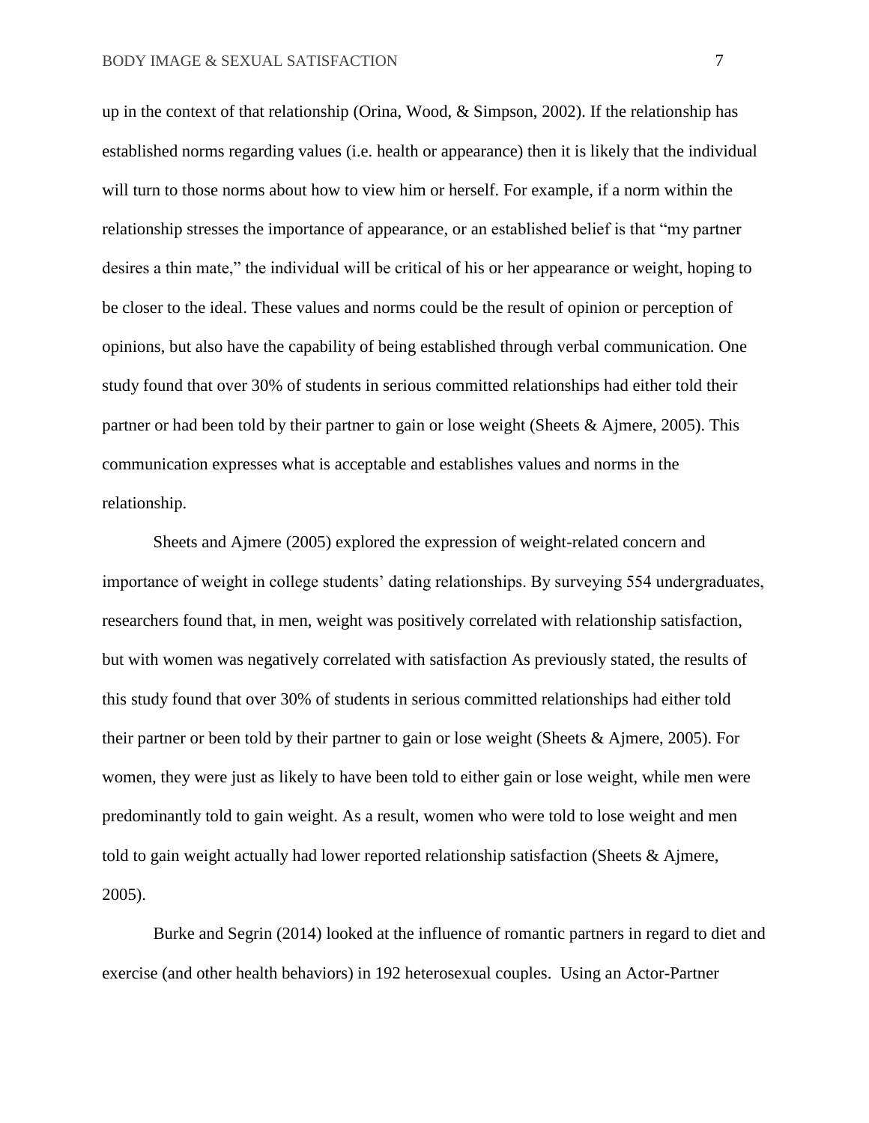up in the context of that relationship (Orina, Wood, & Simpson, 2002). If the relationship has established norms regarding values (i.e. health or appearance) then it is likely that the individual will turn to those norms about how to view him or herself. For example, if a norm within the relationship stresses the importance of appearance, or an established belief is that "my partner desires a thin mate," the individual will be critical of his or her appearance or weight, hoping to be closer to the ideal. These values and norms could be the result of opinion or perception of opinions, but also have the capability of being established through verbal communication. One study found that over 30% of students in serious committed relationships had either told their partner or had been told by their partner to gain or lose weight (Sheets & Ajmere, 2005). This communication expresses what is acceptable and establishes values and norms in the relationship.

Sheets and Ajmere (2005) explored the expression of weight-related concern and importance of weight in college students' dating relationships. By surveying 554 undergraduates, researchers found that, in men, weight was positively correlated with relationship satisfaction, but with women was negatively correlated with satisfaction As previously stated, the results of this study found that over 30% of students in serious committed relationships had either told their partner or been told by their partner to gain or lose weight (Sheets & Ajmere, 2005). For women, they were just as likely to have been told to either gain or lose weight, while men were predominantly told to gain weight. As a result, women who were told to lose weight and men told to gain weight actually had lower reported relationship satisfaction (Sheets & Ajmere, 2005).

Burke and Segrin (2014) looked at the influence of romantic partners in regard to diet and exercise (and other health behaviors) in 192 heterosexual couples. Using an Actor-Partner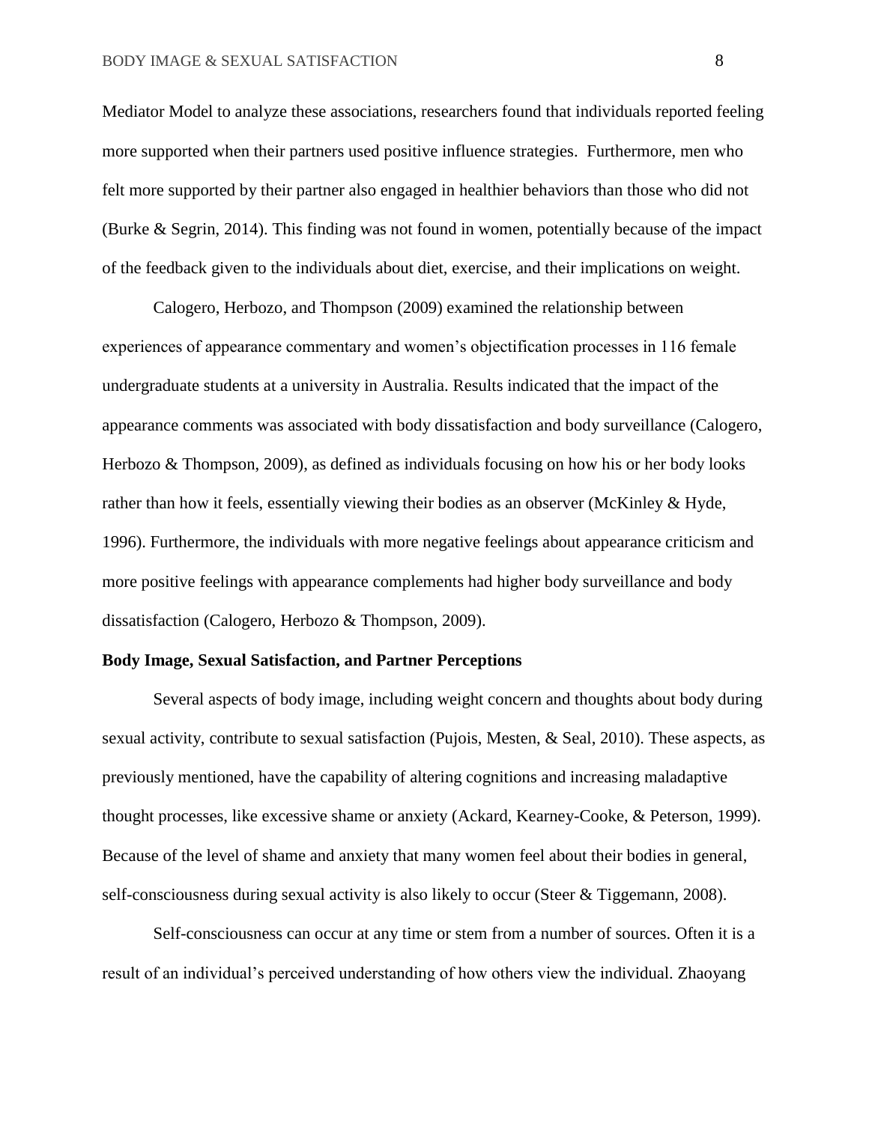Mediator Model to analyze these associations, researchers found that individuals reported feeling more supported when their partners used positive influence strategies. Furthermore, men who felt more supported by their partner also engaged in healthier behaviors than those who did not (Burke & Segrin, 2014). This finding was not found in women, potentially because of the impact of the feedback given to the individuals about diet, exercise, and their implications on weight.

Calogero, Herbozo, and Thompson (2009) examined the relationship between experiences of appearance commentary and women's objectification processes in 116 female undergraduate students at a university in Australia. Results indicated that the impact of the appearance comments was associated with body dissatisfaction and body surveillance (Calogero, Herbozo & Thompson, 2009), as defined as individuals focusing on how his or her body looks rather than how it feels, essentially viewing their bodies as an observer (McKinley & Hyde, 1996). Furthermore, the individuals with more negative feelings about appearance criticism and more positive feelings with appearance complements had higher body surveillance and body dissatisfaction (Calogero, Herbozo & Thompson, 2009).

#### **Body Image, Sexual Satisfaction, and Partner Perceptions**

Several aspects of body image, including weight concern and thoughts about body during sexual activity, contribute to sexual satisfaction (Pujois, Mesten, & Seal, 2010). These aspects, as previously mentioned, have the capability of altering cognitions and increasing maladaptive thought processes, like excessive shame or anxiety (Ackard, Kearney-Cooke, & Peterson, 1999). Because of the level of shame and anxiety that many women feel about their bodies in general, self-consciousness during sexual activity is also likely to occur (Steer & Tiggemann, 2008).

Self-consciousness can occur at any time or stem from a number of sources. Often it is a result of an individual's perceived understanding of how others view the individual. Zhaoyang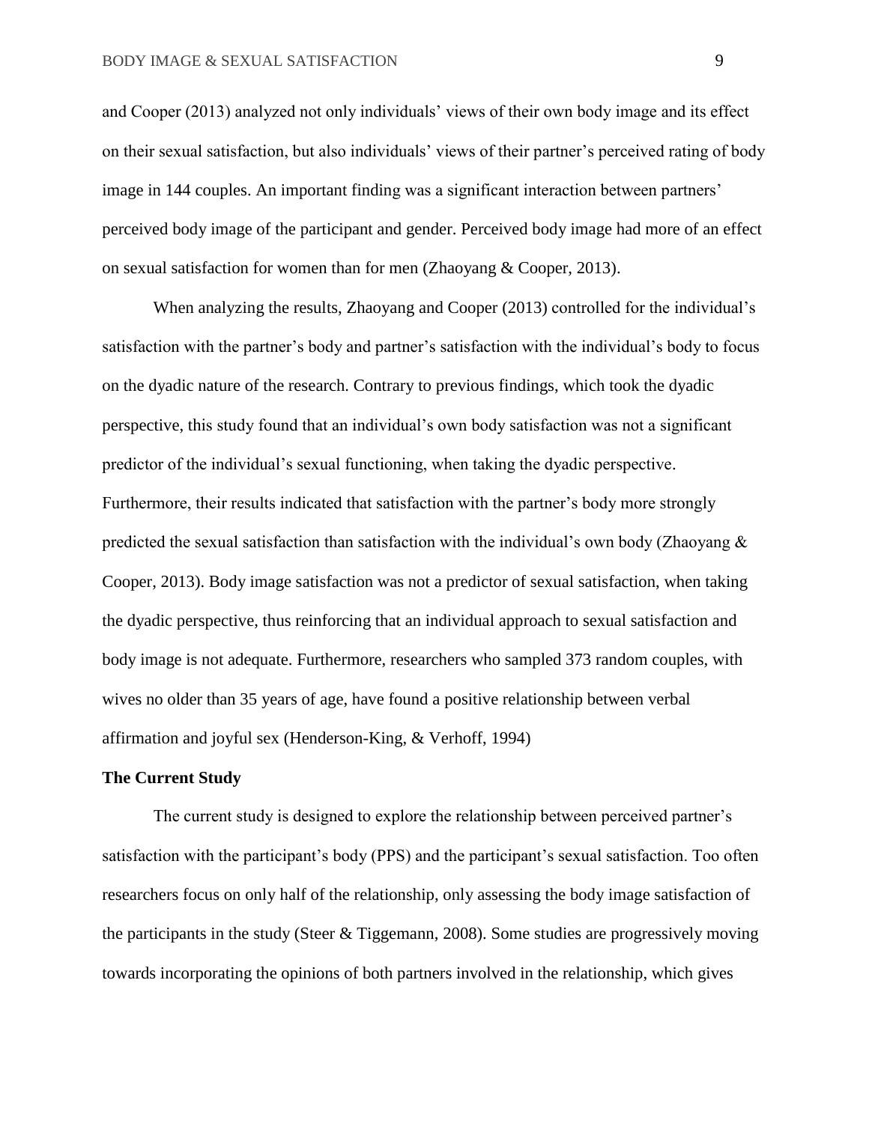and Cooper (2013) analyzed not only individuals' views of their own body image and its effect on their sexual satisfaction, but also individuals' views of their partner's perceived rating of body image in 144 couples. An important finding was a significant interaction between partners' perceived body image of the participant and gender. Perceived body image had more of an effect on sexual satisfaction for women than for men (Zhaoyang & Cooper, 2013).

When analyzing the results, Zhaoyang and Cooper (2013) controlled for the individual's satisfaction with the partner's body and partner's satisfaction with the individual's body to focus on the dyadic nature of the research. Contrary to previous findings, which took the dyadic perspective, this study found that an individual's own body satisfaction was not a significant predictor of the individual's sexual functioning, when taking the dyadic perspective. Furthermore, their results indicated that satisfaction with the partner's body more strongly predicted the sexual satisfaction than satisfaction with the individual's own body (Zhaoyang & Cooper, 2013). Body image satisfaction was not a predictor of sexual satisfaction, when taking the dyadic perspective, thus reinforcing that an individual approach to sexual satisfaction and body image is not adequate. Furthermore, researchers who sampled 373 random couples, with wives no older than 35 years of age, have found a positive relationship between verbal affirmation and joyful sex (Henderson-King, & Verhoff, 1994)

#### **The Current Study**

The current study is designed to explore the relationship between perceived partner's satisfaction with the participant's body (PPS) and the participant's sexual satisfaction. Too often researchers focus on only half of the relationship, only assessing the body image satisfaction of the participants in the study (Steer & Tiggemann, 2008). Some studies are progressively moving towards incorporating the opinions of both partners involved in the relationship, which gives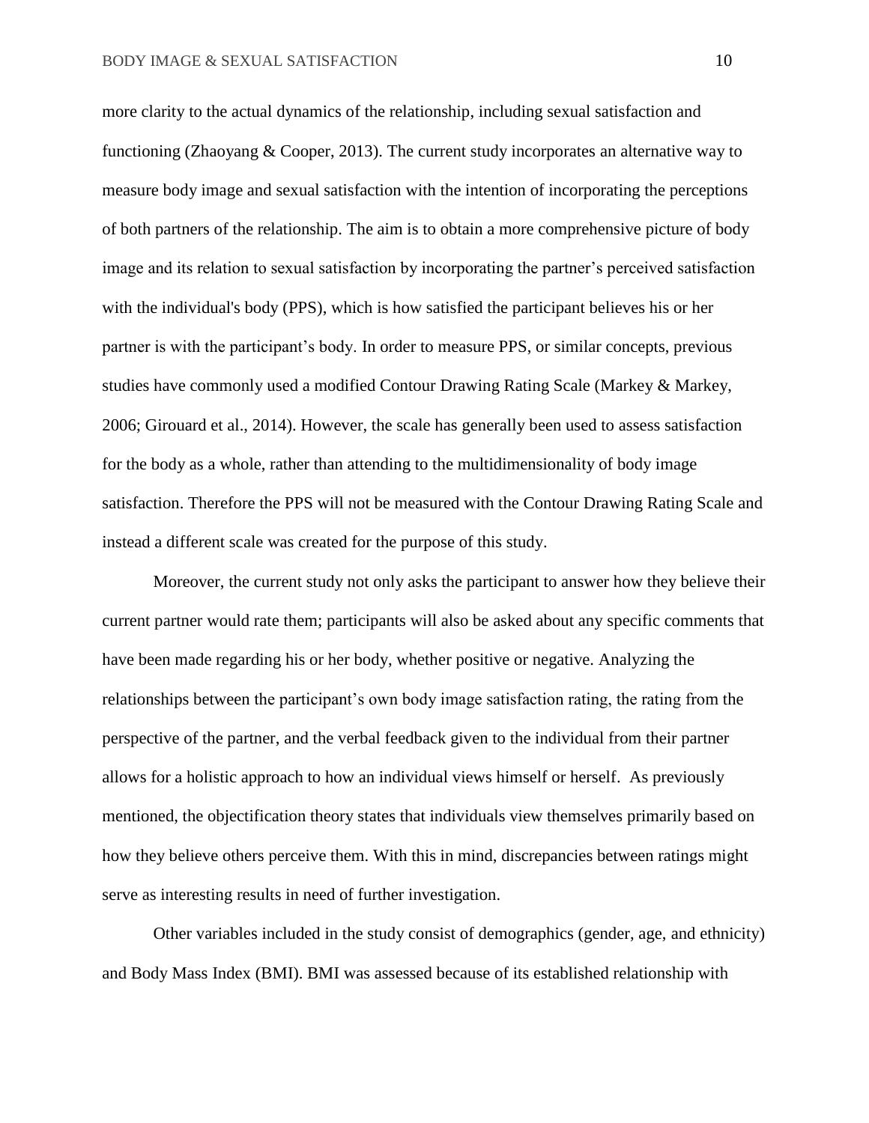more clarity to the actual dynamics of the relationship, including sexual satisfaction and functioning (Zhaoyang & Cooper, 2013). The current study incorporates an alternative way to measure body image and sexual satisfaction with the intention of incorporating the perceptions of both partners of the relationship. The aim is to obtain a more comprehensive picture of body image and its relation to sexual satisfaction by incorporating the partner's perceived satisfaction with the individual's body (PPS), which is how satisfied the participant believes his or her partner is with the participant's body. In order to measure PPS, or similar concepts, previous studies have commonly used a modified Contour Drawing Rating Scale (Markey & Markey, 2006; Girouard et al., 2014). However, the scale has generally been used to assess satisfaction for the body as a whole, rather than attending to the multidimensionality of body image satisfaction. Therefore the PPS will not be measured with the Contour Drawing Rating Scale and instead a different scale was created for the purpose of this study.

 Moreover, the current study not only asks the participant to answer how they believe their current partner would rate them; participants will also be asked about any specific comments that have been made regarding his or her body, whether positive or negative. Analyzing the relationships between the participant's own body image satisfaction rating, the rating from the perspective of the partner, and the verbal feedback given to the individual from their partner allows for a holistic approach to how an individual views himself or herself. As previously mentioned, the objectification theory states that individuals view themselves primarily based on how they believe others perceive them. With this in mind, discrepancies between ratings might serve as interesting results in need of further investigation.

Other variables included in the study consist of demographics (gender, age, and ethnicity) and Body Mass Index (BMI). BMI was assessed because of its established relationship with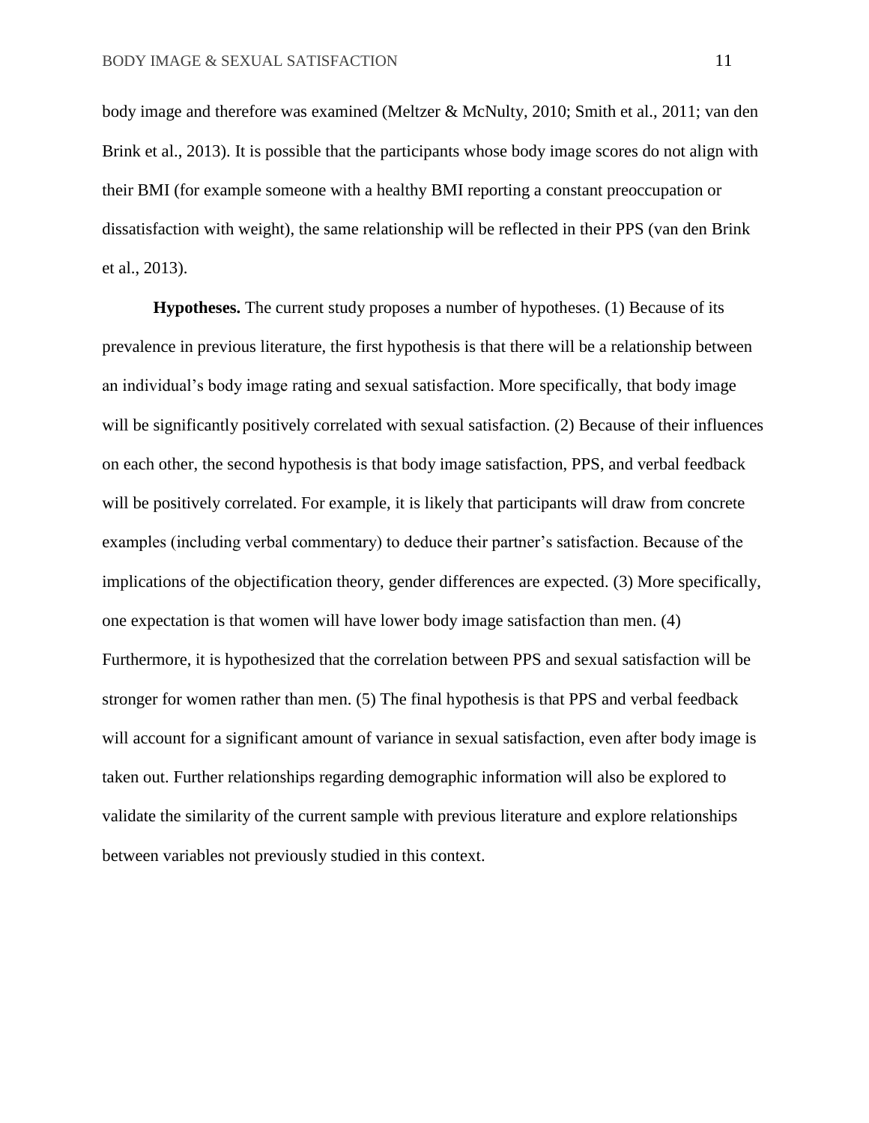body image and therefore was examined (Meltzer & McNulty, 2010; Smith et al., 2011; van den Brink et al., 2013). It is possible that the participants whose body image scores do not align with their BMI (for example someone with a healthy BMI reporting a constant preoccupation or dissatisfaction with weight), the same relationship will be reflected in their PPS (van den Brink et al., 2013).

**Hypotheses.** The current study proposes a number of hypotheses. (1) Because of its prevalence in previous literature, the first hypothesis is that there will be a relationship between an individual's body image rating and sexual satisfaction. More specifically, that body image will be significantly positively correlated with sexual satisfaction. (2) Because of their influences on each other, the second hypothesis is that body image satisfaction, PPS, and verbal feedback will be positively correlated. For example, it is likely that participants will draw from concrete examples (including verbal commentary) to deduce their partner's satisfaction. Because of the implications of the objectification theory, gender differences are expected. (3) More specifically, one expectation is that women will have lower body image satisfaction than men. (4) Furthermore, it is hypothesized that the correlation between PPS and sexual satisfaction will be stronger for women rather than men. (5) The final hypothesis is that PPS and verbal feedback will account for a significant amount of variance in sexual satisfaction, even after body image is taken out. Further relationships regarding demographic information will also be explored to validate the similarity of the current sample with previous literature and explore relationships between variables not previously studied in this context.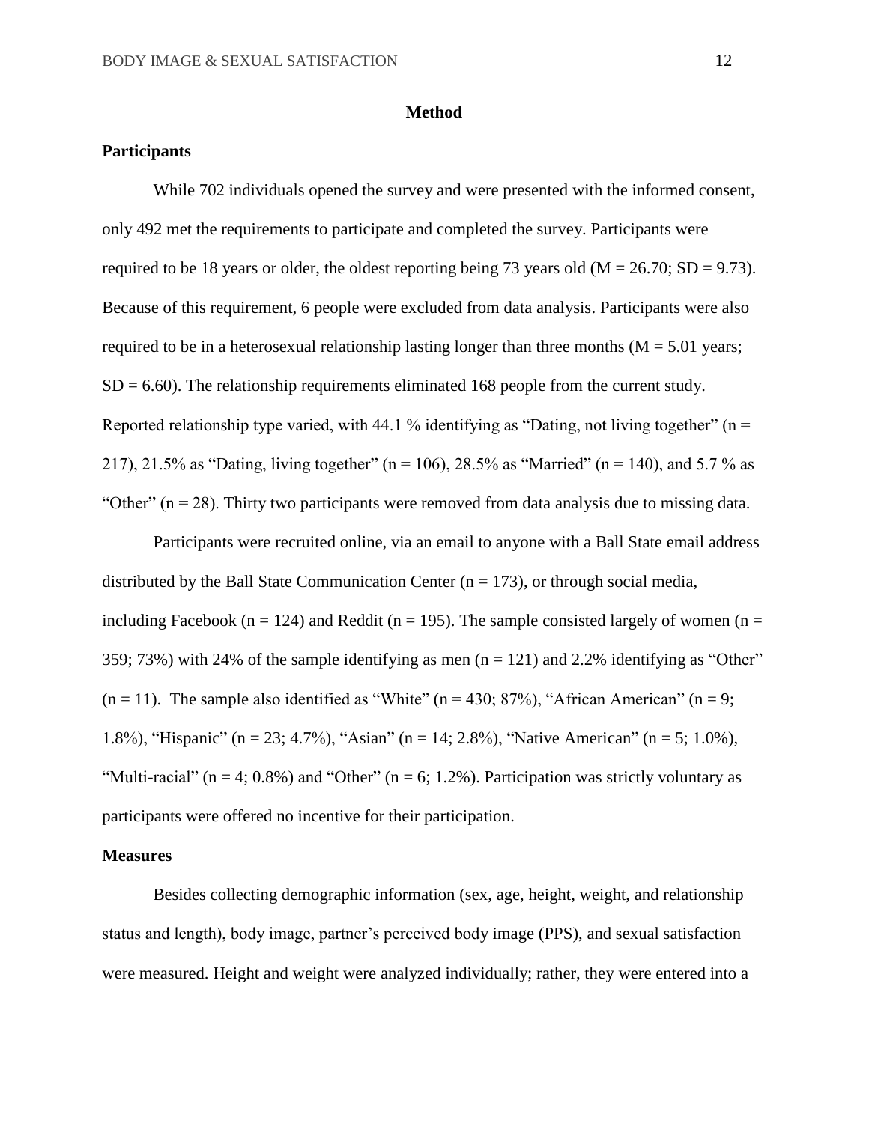#### **Method**

## **Participants**

While 702 individuals opened the survey and were presented with the informed consent, only 492 met the requirements to participate and completed the survey. Participants were required to be 18 years or older, the oldest reporting being 73 years old ( $M = 26.70$ ; SD = 9.73). Because of this requirement, 6 people were excluded from data analysis. Participants were also required to be in a heterosexual relationship lasting longer than three months ( $M = 5.01$  years;  $SD = 6.60$ ). The relationship requirements eliminated 168 people from the current study. Reported relationship type varied, with 44.1 % identifying as "Dating, not living together" ( $n =$ 217), 21.5% as "Dating, living together" (n = 106), 28.5% as "Married" (n = 140), and 5.7% as "Other"  $(n = 28)$ . Thirty two participants were removed from data analysis due to missing data.

Participants were recruited online, via an email to anyone with a Ball State email address distributed by the Ball State Communication Center  $(n = 173)$ , or through social media, including Facebook (n = 124) and Reddit (n = 195). The sample consisted largely of women (n = 359; 73%) with 24% of the sample identifying as men  $(n = 121)$  and 2.2% identifying as "Other"  $(n = 11)$ . The sample also identified as "White"  $(n = 430; 87%)$ , "African American"  $(n = 9;$ 1.8%), "Hispanic" (n = 23; 4.7%), "Asian" (n = 14; 2.8%), "Native American" (n = 5; 1.0%), "Multi-racial" ( $n = 4$ ; 0.8%) and "Other" ( $n = 6$ ; 1.2%). Participation was strictly voluntary as participants were offered no incentive for their participation.

## **Measures**

Besides collecting demographic information (sex, age, height, weight, and relationship status and length), body image, partner's perceived body image (PPS), and sexual satisfaction were measured. Height and weight were analyzed individually; rather, they were entered into a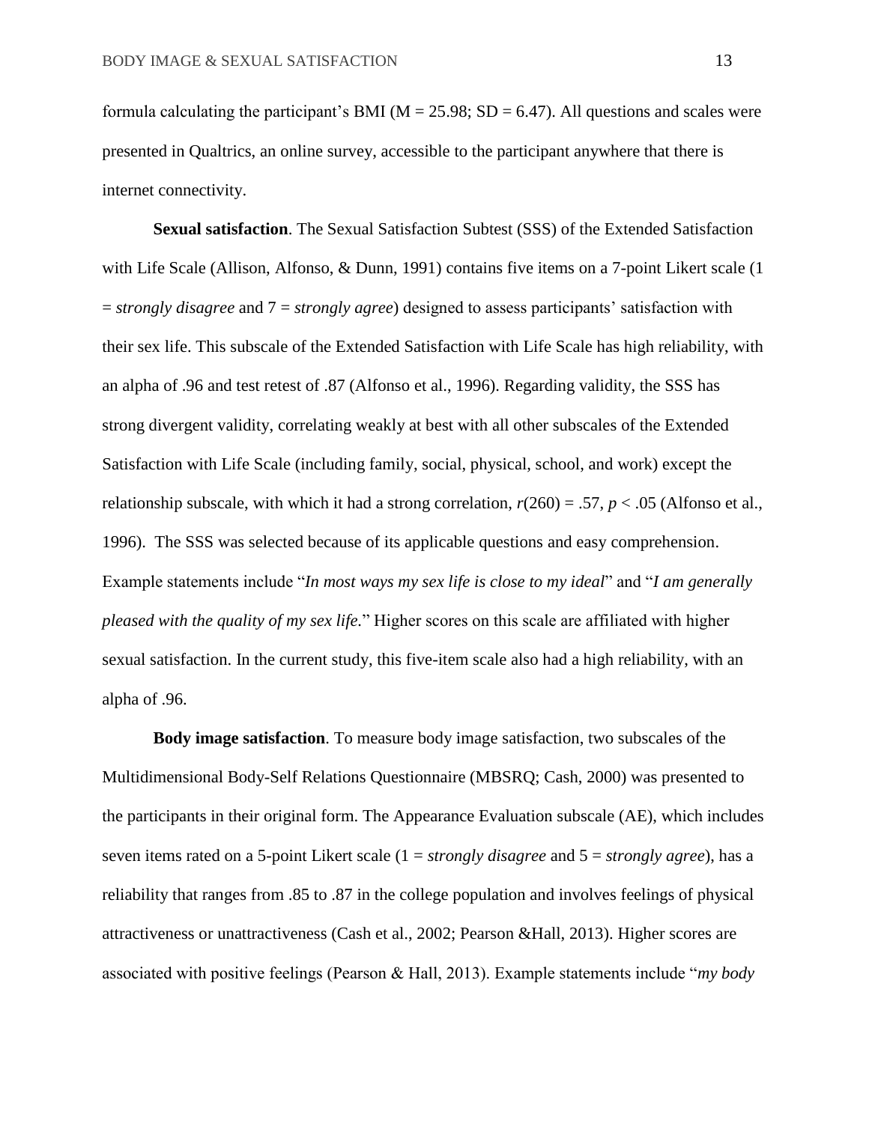formula calculating the participant's BMI ( $M = 25.98$ ; SD = 6.47). All questions and scales were presented in Qualtrics, an online survey, accessible to the participant anywhere that there is internet connectivity.

**Sexual satisfaction**. The Sexual Satisfaction Subtest (SSS) of the Extended Satisfaction with Life Scale (Allison, Alfonso, & Dunn, 1991) contains five items on a 7-point Likert scale (1 = *strongly disagree* and 7 = *strongly agree*) designed to assess participants' satisfaction with their sex life. This subscale of the Extended Satisfaction with Life Scale has high reliability, with an alpha of .96 and test retest of .87 (Alfonso et al., 1996). Regarding validity, the SSS has strong divergent validity, correlating weakly at best with all other subscales of the Extended Satisfaction with Life Scale (including family, social, physical, school, and work) except the relationship subscale, with which it had a strong correlation,  $r(260) = .57$ ,  $p < .05$  (Alfonso et al., 1996). The SSS was selected because of its applicable questions and easy comprehension. Example statements include "*In most ways my sex life is close to my ideal*" and "*I am generally pleased with the quality of my sex life.*" Higher scores on this scale are affiliated with higher sexual satisfaction. In the current study, this five-item scale also had a high reliability, with an alpha of .96.

**Body image satisfaction**. To measure body image satisfaction, two subscales of the Multidimensional Body-Self Relations Questionnaire (MBSRQ; Cash, 2000) was presented to the participants in their original form. The Appearance Evaluation subscale (AE), which includes seven items rated on a 5-point Likert scale (1 = *strongly disagree* and 5 = *strongly agree*), has a reliability that ranges from .85 to .87 in the college population and involves feelings of physical attractiveness or unattractiveness (Cash et al., 2002; Pearson &Hall, 2013). Higher scores are associated with positive feelings (Pearson & Hall, 2013). Example statements include "*my body*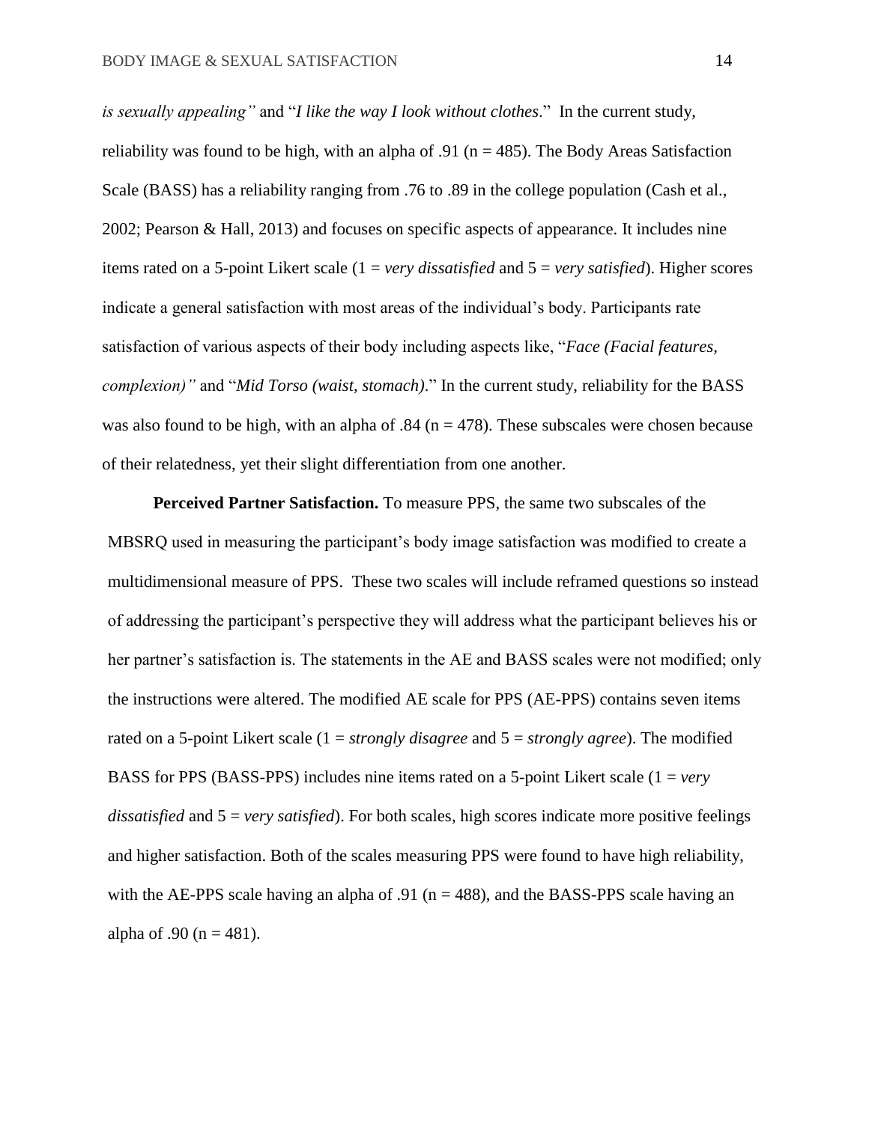*is sexually appealing"* and "*I like the way I look without clothes*." In the current study, reliability was found to be high, with an alpha of .91 ( $n = 485$ ). The Body Areas Satisfaction Scale (BASS) has a reliability ranging from .76 to .89 in the college population (Cash et al., 2002; Pearson & Hall, 2013) and focuses on specific aspects of appearance. It includes nine items rated on a 5-point Likert scale (1 = *very dissatisfied* and 5 = *very satisfied*). Higher scores indicate a general satisfaction with most areas of the individual's body. Participants rate satisfaction of various aspects of their body including aspects like, "*Face (Facial features, complexion)"* and "*Mid Torso (waist, stomach)*." In the current study, reliability for the BASS was also found to be high, with an alpha of .84 ( $n = 478$ ). These subscales were chosen because of their relatedness, yet their slight differentiation from one another.

**Perceived Partner Satisfaction.** To measure PPS, the same two subscales of the MBSRQ used in measuring the participant's body image satisfaction was modified to create a multidimensional measure of PPS. These two scales will include reframed questions so instead of addressing the participant's perspective they will address what the participant believes his or her partner's satisfaction is. The statements in the AE and BASS scales were not modified; only the instructions were altered. The modified AE scale for PPS (AE-PPS) contains seven items rated on a 5-point Likert scale (1 = *strongly disagree* and 5 = *strongly agree*). The modified BASS for PPS (BASS-PPS) includes nine items rated on a 5-point Likert scale (1 = *very dissatisfied* and 5 = *very satisfied*). For both scales, high scores indicate more positive feelings and higher satisfaction. Both of the scales measuring PPS were found to have high reliability, with the AE-PPS scale having an alpha of .91 ( $n = 488$ ), and the BASS-PPS scale having an alpha of .90 ( $n = 481$ ).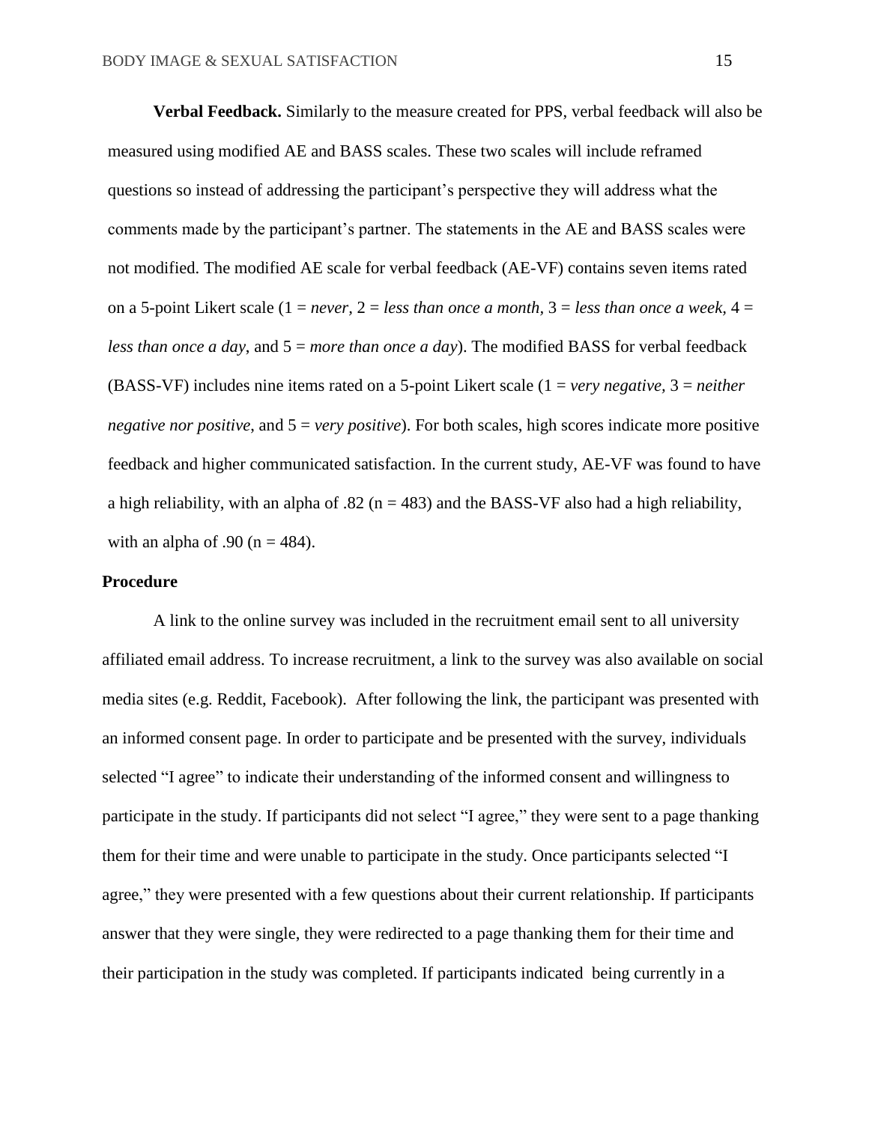**Verbal Feedback.** Similarly to the measure created for PPS, verbal feedback will also be measured using modified AE and BASS scales. These two scales will include reframed questions so instead of addressing the participant's perspective they will address what the comments made by the participant's partner. The statements in the AE and BASS scales were not modified. The modified AE scale for verbal feedback (AE-VF) contains seven items rated on a 5-point Likert scale (1 = *never,* 2 = *less than once a month,* 3 = *less than once a week,* 4 = *less than once a day*, and 5 = *more than once a day*). The modified BASS for verbal feedback (BASS-VF) includes nine items rated on a 5-point Likert scale (1 = *very negative,* 3 = *neither negative nor positive*, and 5 = *very positive*). For both scales, high scores indicate more positive feedback and higher communicated satisfaction. In the current study, AE-VF was found to have a high reliability, with an alpha of .82 ( $n = 483$ ) and the BASS-VF also had a high reliability, with an alpha of .90 ( $n = 484$ ).

#### **Procedure**

A link to the online survey was included in the recruitment email sent to all university affiliated email address. To increase recruitment, a link to the survey was also available on social media sites (e.g. Reddit, Facebook). After following the link, the participant was presented with an informed consent page. In order to participate and be presented with the survey, individuals selected "I agree" to indicate their understanding of the informed consent and willingness to participate in the study. If participants did not select "I agree," they were sent to a page thanking them for their time and were unable to participate in the study. Once participants selected "I agree," they were presented with a few questions about their current relationship. If participants answer that they were single, they were redirected to a page thanking them for their time and their participation in the study was completed. If participants indicated being currently in a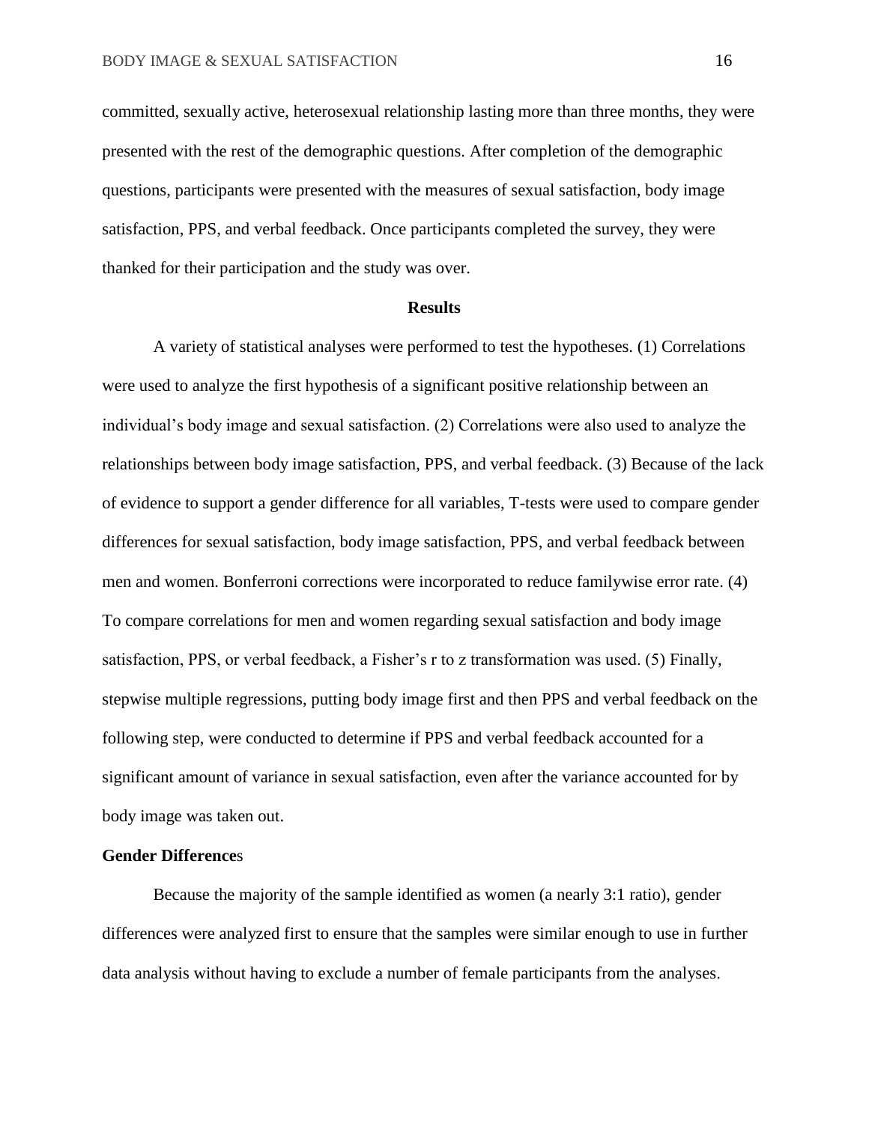committed, sexually active, heterosexual relationship lasting more than three months, they were presented with the rest of the demographic questions. After completion of the demographic questions, participants were presented with the measures of sexual satisfaction, body image satisfaction, PPS, and verbal feedback. Once participants completed the survey, they were thanked for their participation and the study was over.

#### **Results**

A variety of statistical analyses were performed to test the hypotheses. (1) Correlations were used to analyze the first hypothesis of a significant positive relationship between an individual's body image and sexual satisfaction. (2) Correlations were also used to analyze the relationships between body image satisfaction, PPS, and verbal feedback. (3) Because of the lack of evidence to support a gender difference for all variables, T-tests were used to compare gender differences for sexual satisfaction, body image satisfaction, PPS, and verbal feedback between men and women. Bonferroni corrections were incorporated to reduce familywise error rate. (4) To compare correlations for men and women regarding sexual satisfaction and body image satisfaction, PPS, or verbal feedback, a Fisher's r to z transformation was used. (5) Finally, stepwise multiple regressions, putting body image first and then PPS and verbal feedback on the following step, were conducted to determine if PPS and verbal feedback accounted for a significant amount of variance in sexual satisfaction, even after the variance accounted for by body image was taken out.

## **Gender Difference**s

Because the majority of the sample identified as women (a nearly 3:1 ratio), gender differences were analyzed first to ensure that the samples were similar enough to use in further data analysis without having to exclude a number of female participants from the analyses.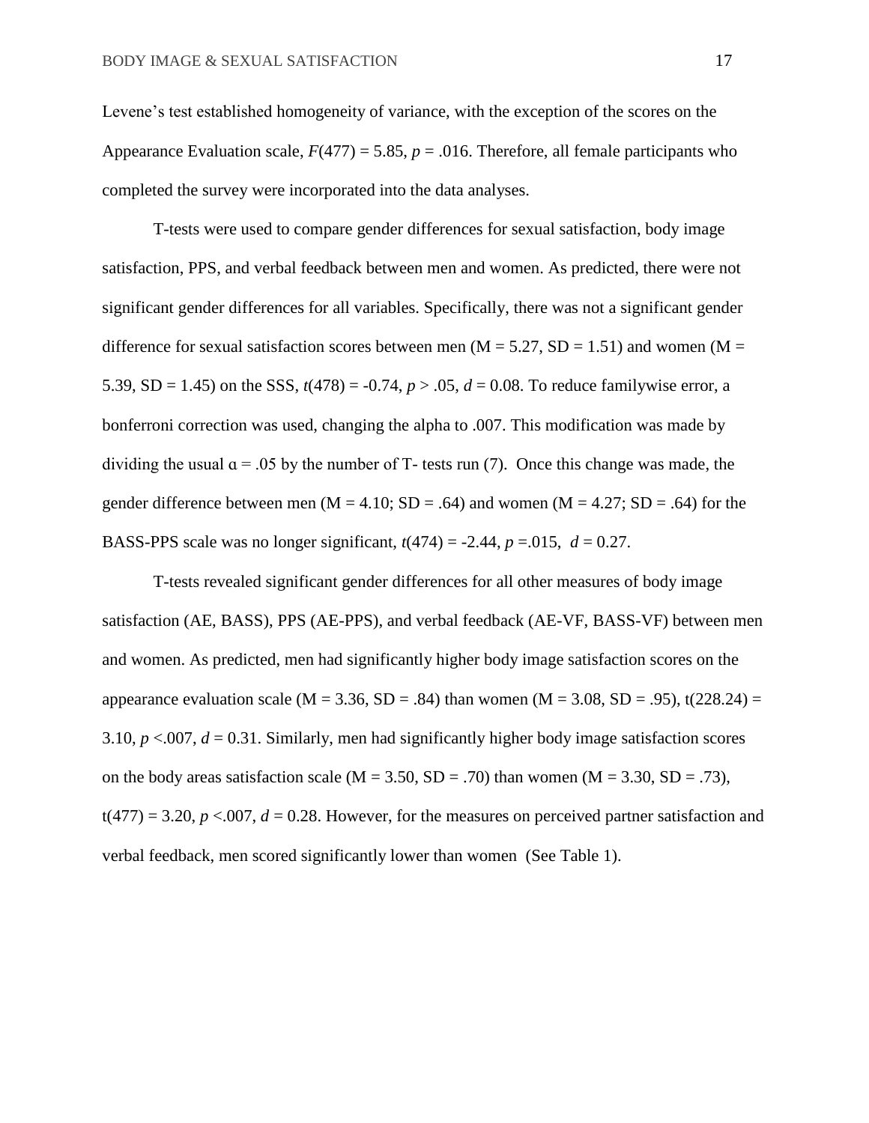Levene's test established homogeneity of variance, with the exception of the scores on the Appearance Evaluation scale,  $F(477) = 5.85$ ,  $p = .016$ . Therefore, all female participants who completed the survey were incorporated into the data analyses.

T-tests were used to compare gender differences for sexual satisfaction, body image satisfaction, PPS, and verbal feedback between men and women. As predicted, there were not significant gender differences for all variables. Specifically, there was not a significant gender difference for sexual satisfaction scores between men ( $M = 5.27$ ,  $SD = 1.51$ ) and women ( $M =$ 5.39, SD = 1.45) on the SSS,  $t(478) = -0.74$ ,  $p > .05$ ,  $d = 0.08$ . To reduce familywise error, a bonferroni correction was used, changing the alpha to .007. This modification was made by dividing the usual  $\alpha$  = .05 by the number of T- tests run (7). Once this change was made, the gender difference between men ( $M = 4.10$ ;  $SD = .64$ ) and women ( $M = 4.27$ ;  $SD = .64$ ) for the BASS-PPS scale was no longer significant,  $t(474) = -2.44$ ,  $p = -0.015$ ,  $d = 0.27$ .

T-tests revealed significant gender differences for all other measures of body image satisfaction (AE, BASS), PPS (AE-PPS), and verbal feedback (AE-VF, BASS-VF) between men and women. As predicted, men had significantly higher body image satisfaction scores on the appearance evaluation scale (M = 3.36, SD = .84) than women (M = 3.08, SD = .95), t(228.24) = 3.10,  $p < 0.007$ ,  $d = 0.31$ . Similarly, men had significantly higher body image satisfaction scores on the body areas satisfaction scale  $(M = 3.50, SD = .70)$  than women  $(M = 3.30, SD = .73)$ ,  $t(477) = 3.20, p < 0.007, d = 0.28$ . However, for the measures on perceived partner satisfaction and verbal feedback, men scored significantly lower than women (See Table 1).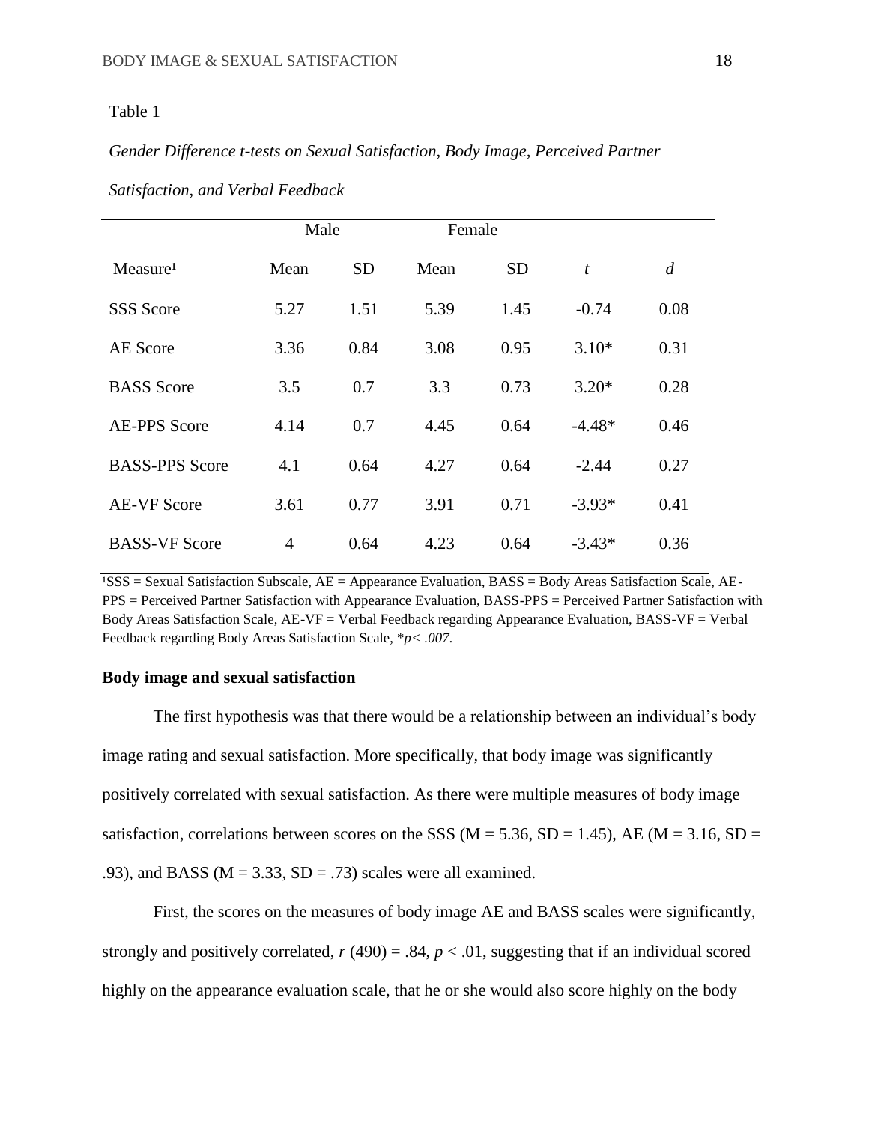## *Gender Difference t-tests on Sexual Satisfaction, Body Image, Perceived Partner*

|                       | Male           |           | Female |           |                  |                |
|-----------------------|----------------|-----------|--------|-----------|------------------|----------------|
| Measure <sup>1</sup>  | Mean           | <b>SD</b> | Mean   | <b>SD</b> | $\boldsymbol{t}$ | $\overline{d}$ |
| <b>SSS</b> Score      | 5.27           | 1.51      | 5.39   | 1.45      | $-0.74$          | 0.08           |
| <b>AE</b> Score       | 3.36           | 0.84      | 3.08   | 0.95      | $3.10*$          | 0.31           |
| <b>BASS</b> Score     | 3.5            | 0.7       | 3.3    | 0.73      | $3.20*$          | 0.28           |
| <b>AE-PPS Score</b>   | 4.14           | 0.7       | 4.45   | 0.64      | $-4.48*$         | 0.46           |
| <b>BASS-PPS Score</b> | 4.1            | 0.64      | 4.27   | 0.64      | $-2.44$          | 0.27           |
| <b>AE-VF Score</b>    | 3.61           | 0.77      | 3.91   | 0.71      | $-3.93*$         | 0.41           |
| <b>BASS-VF Score</b>  | $\overline{4}$ | 0.64      | 4.23   | 0.64      | $-3.43*$         | 0.36           |

*Satisfaction, and Verbal Feedback*

<sup>1</sup>SSS = Sexual Satisfaction Subscale, AE = Appearance Evaluation, BASS = Body Areas Satisfaction Scale, AE-PPS = Perceived Partner Satisfaction with Appearance Evaluation, BASS-PPS = Perceived Partner Satisfaction with Body Areas Satisfaction Scale, AE-VF = Verbal Feedback regarding Appearance Evaluation, BASS-VF = Verbal Feedback regarding Body Areas Satisfaction Scale, \**p< .007.*

#### **Body image and sexual satisfaction**

The first hypothesis was that there would be a relationship between an individual's body image rating and sexual satisfaction. More specifically, that body image was significantly positively correlated with sexual satisfaction. As there were multiple measures of body image satisfaction, correlations between scores on the SSS ( $M = 5.36$ , SD = 1.45), AE ( $M = 3.16$ , SD = .93), and BASS ( $M = 3.33$ ,  $SD = .73$ ) scales were all examined.

First, the scores on the measures of body image AE and BASS scales were significantly, strongly and positively correlated,  $r(490) = .84$ ,  $p < .01$ , suggesting that if an individual scored highly on the appearance evaluation scale, that he or she would also score highly on the body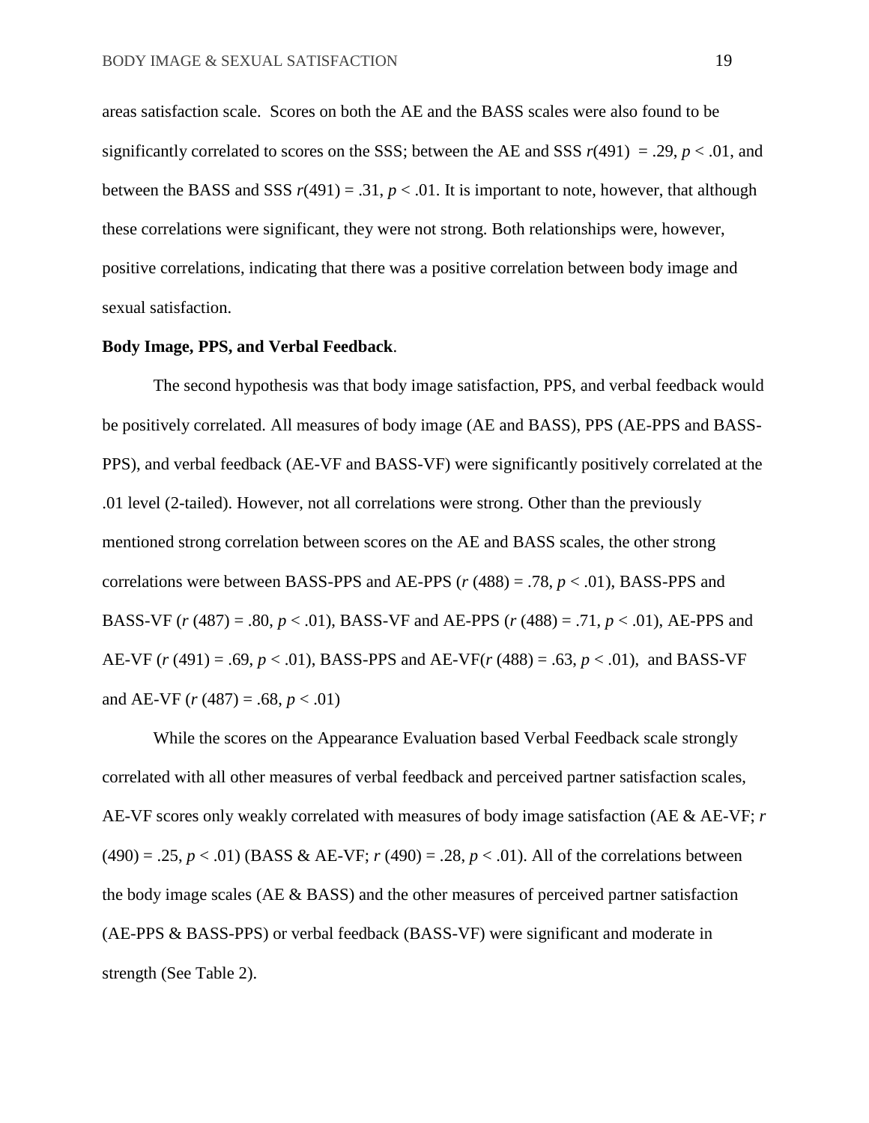areas satisfaction scale. Scores on both the AE and the BASS scales were also found to be significantly correlated to scores on the SSS; between the AE and SSS  $r(491) = .29$ ,  $p < .01$ , and between the BASS and SSS  $r(491) = .31$ ,  $p < .01$ . It is important to note, however, that although these correlations were significant, they were not strong. Both relationships were, however, positive correlations, indicating that there was a positive correlation between body image and sexual satisfaction.

#### **Body Image, PPS, and Verbal Feedback**.

The second hypothesis was that body image satisfaction, PPS, and verbal feedback would be positively correlated. All measures of body image (AE and BASS), PPS (AE-PPS and BASS-PPS), and verbal feedback (AE-VF and BASS-VF) were significantly positively correlated at the .01 level (2-tailed). However, not all correlations were strong. Other than the previously mentioned strong correlation between scores on the AE and BASS scales, the other strong correlations were between BASS-PPS and AE-PPS (*r* (488) = .78, *p* < .01), BASS-PPS and BASS-VF (*r* (487) = .80, *p* < .01), BASS-VF and AE-PPS (*r* (488) = .71, *p* < .01), AE-PPS and AE-VF (*r* (491) = .69, *p* < .01), BASS-PPS and AE-VF(*r* (488) = .63, *p* < .01), and BASS-VF and AE-VF  $(r (487) = .68, p < .01)$ 

While the scores on the Appearance Evaluation based Verbal Feedback scale strongly correlated with all other measures of verbal feedback and perceived partner satisfaction scales, AE-VF scores only weakly correlated with measures of body image satisfaction (AE & AE-VF; *r*   $(490) = .25, p < .01$ ) (BASS & AE-VF; *r* (490) = .28, *p* < .01). All of the correlations between the body image scales (AE & BASS) and the other measures of perceived partner satisfaction (AE-PPS & BASS-PPS) or verbal feedback (BASS-VF) were significant and moderate in strength (See Table 2).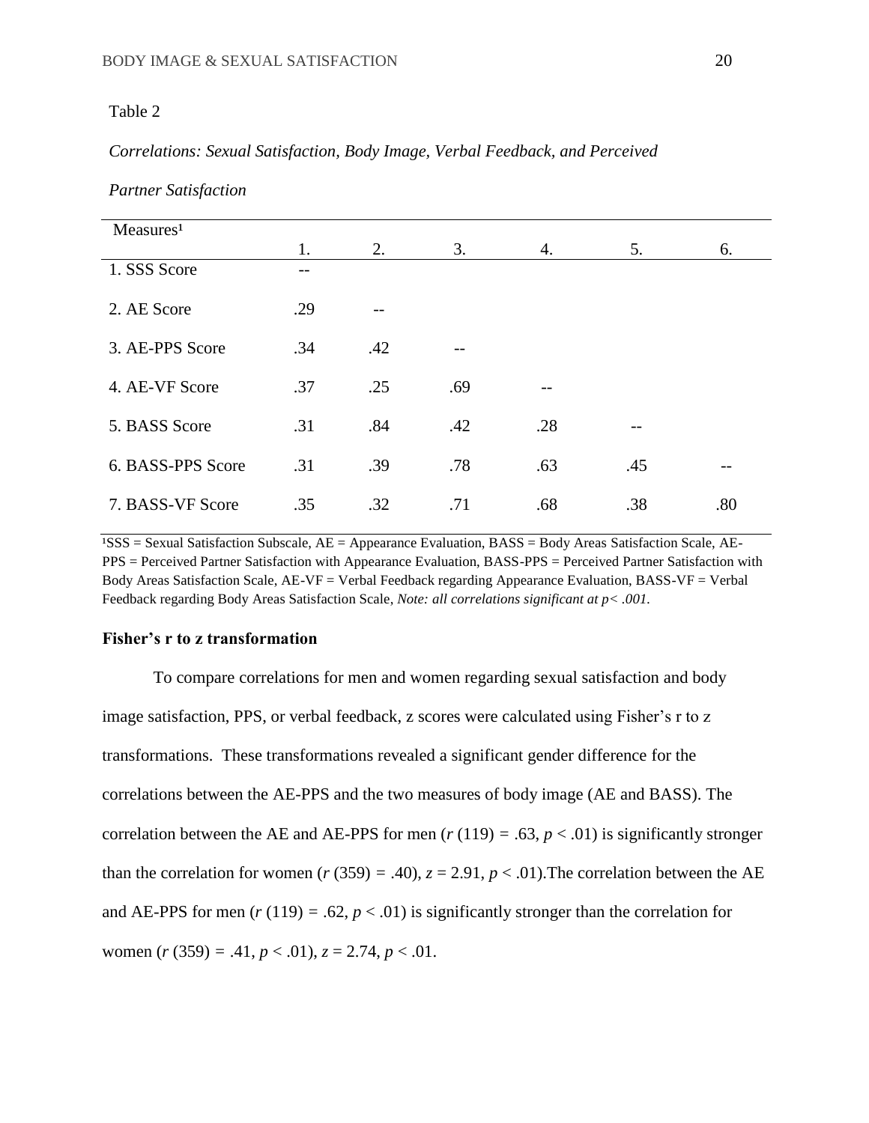# *Correlations: Sexual Satisfaction, Body Image, Verbal Feedback, and Perceived*

| Measures <sup>1</sup> |     |     |     |     |     |     |
|-----------------------|-----|-----|-----|-----|-----|-----|
|                       | 1.  | 2.  | 3.  | 4.  | 5.  | 6.  |
| 1. SSS Score          | --  |     |     |     |     |     |
| 2. AE Score           | .29 |     |     |     |     |     |
| 3. AE-PPS Score       | .34 | .42 |     |     |     |     |
| 4. AE-VF Score        | .37 | .25 | .69 |     |     |     |
| 5. BASS Score         | .31 | .84 | .42 | .28 | --  |     |
| 6. BASS-PPS Score     | .31 | .39 | .78 | .63 | .45 |     |
| 7. BASS-VF Score      | .35 | .32 | .71 | .68 | .38 | .80 |

*Partner Satisfaction*

 $^{1}$ SSS = Sexual Satisfaction Subscale, AE = Appearance Evaluation, BASS = Body Areas Satisfaction Scale, AE-PPS = Perceived Partner Satisfaction with Appearance Evaluation, BASS-PPS = Perceived Partner Satisfaction with Body Areas Satisfaction Scale, AE-VF = Verbal Feedback regarding Appearance Evaluation, BASS-VF = Verbal Feedback regarding Body Areas Satisfaction Scale, *Note: all correlations significant at p< .001.*

#### **Fisher's r to z transformation**

To compare correlations for men and women regarding sexual satisfaction and body image satisfaction, PPS, or verbal feedback, z scores were calculated using Fisher's r to z transformations. These transformations revealed a significant gender difference for the correlations between the AE-PPS and the two measures of body image (AE and BASS). The correlation between the AE and AE-PPS for men ( $r(119) = .63$ ,  $p < .01$ ) is significantly stronger than the correlation for women ( $r$  (359) = .40),  $z = 2.91$ ,  $p < .01$ ). The correlation between the AE and AE-PPS for men ( $r(119) = .62$ ,  $p < .01$ ) is significantly stronger than the correlation for women  $(r (359) = .41, p < .01), z = 2.74, p < .01.$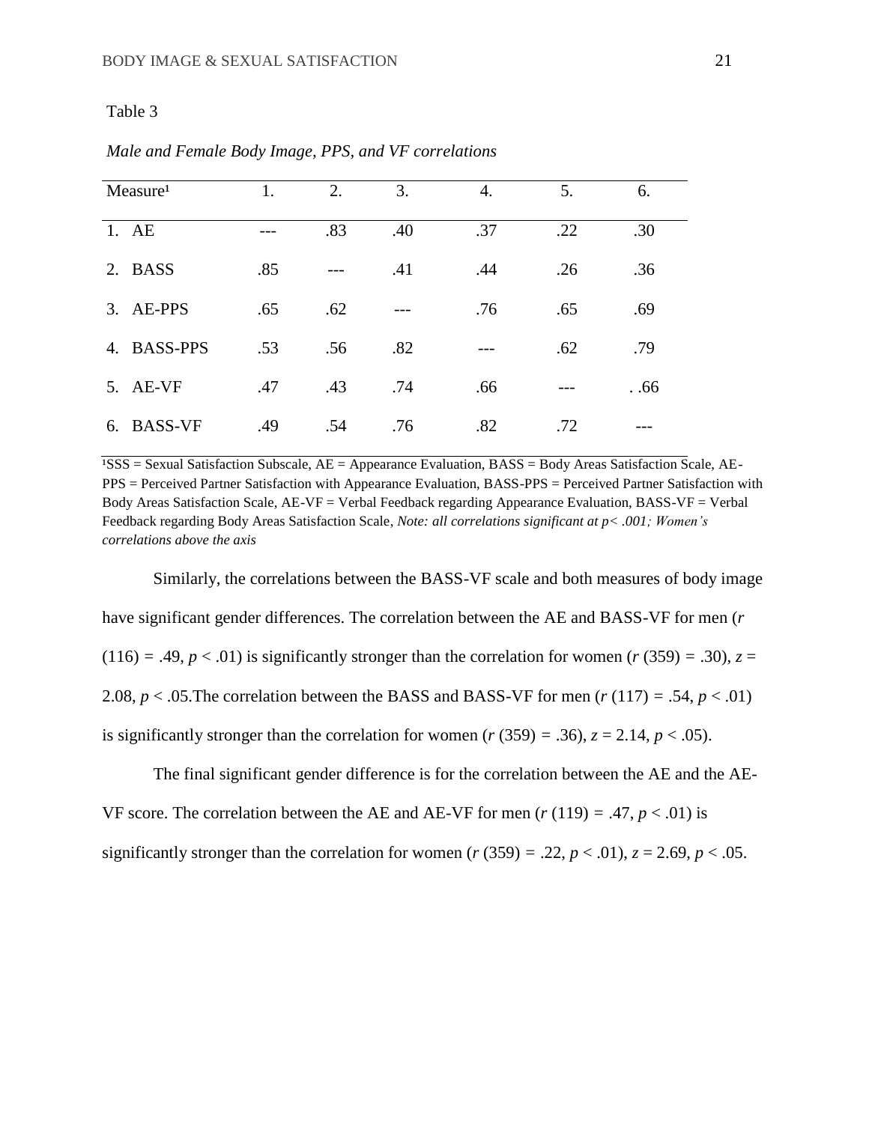|    | Measure <sup>1</sup> | 1.  | 2.    | 3.  | 4.  | 5.  | 6.  |
|----|----------------------|-----|-------|-----|-----|-----|-----|
|    | 1. AE                |     | .83   | .40 | .37 | .22 | .30 |
| 2. | <b>BASS</b>          | .85 | $---$ | .41 | .44 | .26 | .36 |
|    | 3. AE-PPS            | .65 | .62   |     | .76 | .65 | .69 |
| 4. | <b>BASS-PPS</b>      | .53 | .56   | .82 |     | .62 | .79 |
|    | 5. AE-VF             | .47 | .43   | .74 | .66 |     | .66 |
| 6. | <b>BASS-VF</b>       | .49 | .54   | .76 | .82 | .72 |     |

*Male and Female Body Image, PPS, and VF correlations*

 $\overline{PSSS}$  = Sexual Satisfaction Subscale,  $AE$  = Appearance Evaluation, BASS = Body Areas Satisfaction Scale, AE-PPS = Perceived Partner Satisfaction with Appearance Evaluation, BASS-PPS = Perceived Partner Satisfaction with Body Areas Satisfaction Scale, AE-VF = Verbal Feedback regarding Appearance Evaluation, BASS-VF = Verbal Feedback regarding Body Areas Satisfaction Scale, *Note: all correlations significant at p< .001; Women's correlations above the axis*

Similarly, the correlations between the BASS-VF scale and both measures of body image have significant gender differences. The correlation between the AE and BASS-VF for men (*r*   $(116) = .49, p < .01$ ) is significantly stronger than the correlation for women  $(r (359) = .30)$ ,  $z =$ 2.08,  $p < .05$ . The correlation between the BASS and BASS-VF for men ( $r(117) = .54$ ,  $p < .01$ ) is significantly stronger than the correlation for women  $(r (359) = .36)$ ,  $z = 2.14$ ,  $p < .05$ ).

The final significant gender difference is for the correlation between the AE and the AE-VF score. The correlation between the AE and AE-VF for men  $(r (119) = .47, p < .01)$  is significantly stronger than the correlation for women  $(r (359) = .22, p < .01), z = 2.69, p < .05.$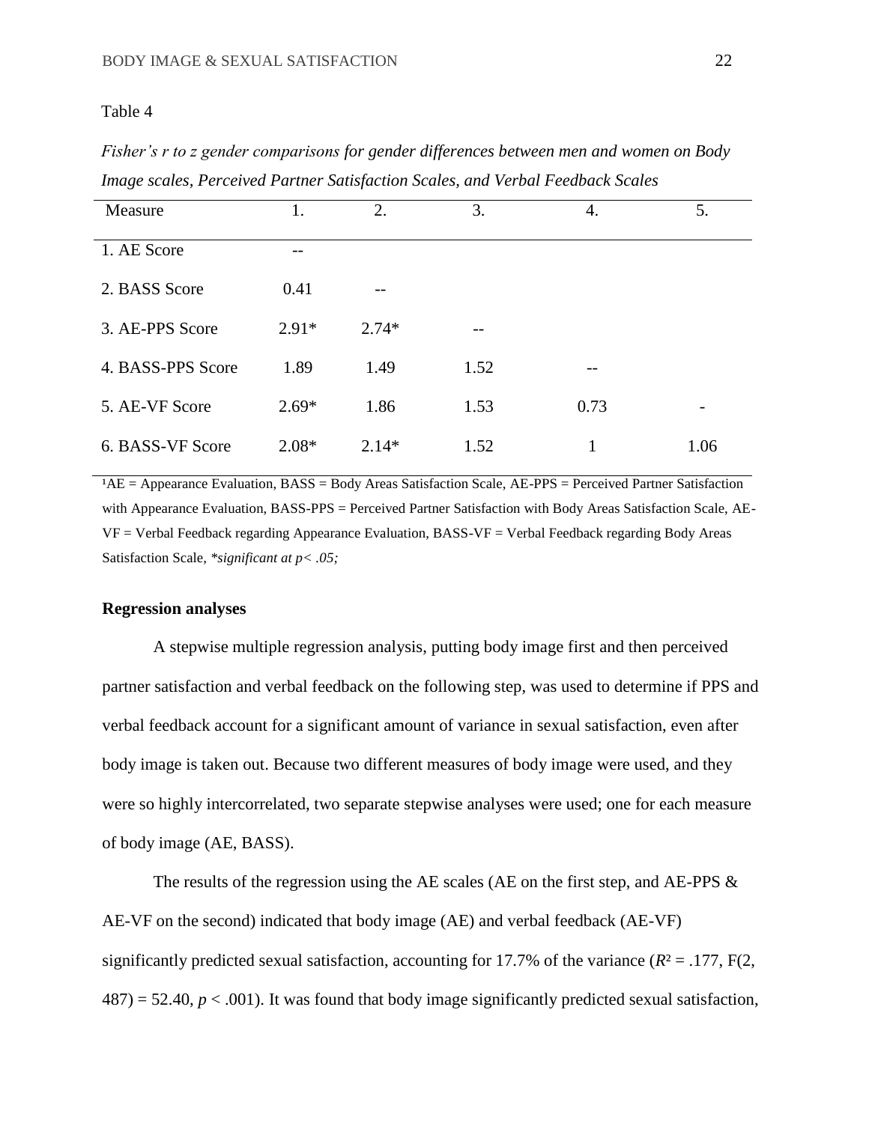*Fisher's r to z gender comparisons for gender differences between men and women on Body Image scales, Perceived Partner Satisfaction Scales, and Verbal Feedback Scales*

| Measure           | 1.      | 2.      | 3.   | 4.   | 5.   |
|-------------------|---------|---------|------|------|------|
| 1. AE Score       |         |         |      |      |      |
| 2. BASS Score     | 0.41    | --      |      |      |      |
| 3. AE-PPS Score   | $2.91*$ | $2.74*$ |      |      |      |
| 4. BASS-PPS Score | 1.89    | 1.49    | 1.52 | --   |      |
| 5. AE-VF Score    | $2.69*$ | 1.86    | 1.53 | 0.73 | -    |
| 6. BASS-VF Score  | $2.08*$ | $2.14*$ | 1.52 | 1    | 1.06 |

 $AAE = Appearance Evaluation, BASS = Body Areas Satisfaction Scale, AE-PPS = Percentage Partner Satisfaction$ with Appearance Evaluation, BASS-PPS = Perceived Partner Satisfaction with Body Areas Satisfaction Scale, AE-VF = Verbal Feedback regarding Appearance Evaluation, BASS-VF = Verbal Feedback regarding Body Areas Satisfaction Scale, *\*significant at p< .05;* 

## **Regression analyses**

A stepwise multiple regression analysis, putting body image first and then perceived partner satisfaction and verbal feedback on the following step, was used to determine if PPS and verbal feedback account for a significant amount of variance in sexual satisfaction, even after body image is taken out. Because two different measures of body image were used, and they were so highly intercorrelated, two separate stepwise analyses were used; one for each measure of body image (AE, BASS).

The results of the regression using the AE scales (AE on the first step, and AE-PPS  $\&$ AE-VF on the second) indicated that body image (AE) and verbal feedback (AE-VF) significantly predicted sexual satisfaction, accounting for 17.7% of the variance  $(R^2 = .177, F(2,$  $487$ ) = 52.40,  $p < .001$ ). It was found that body image significantly predicted sexual satisfaction,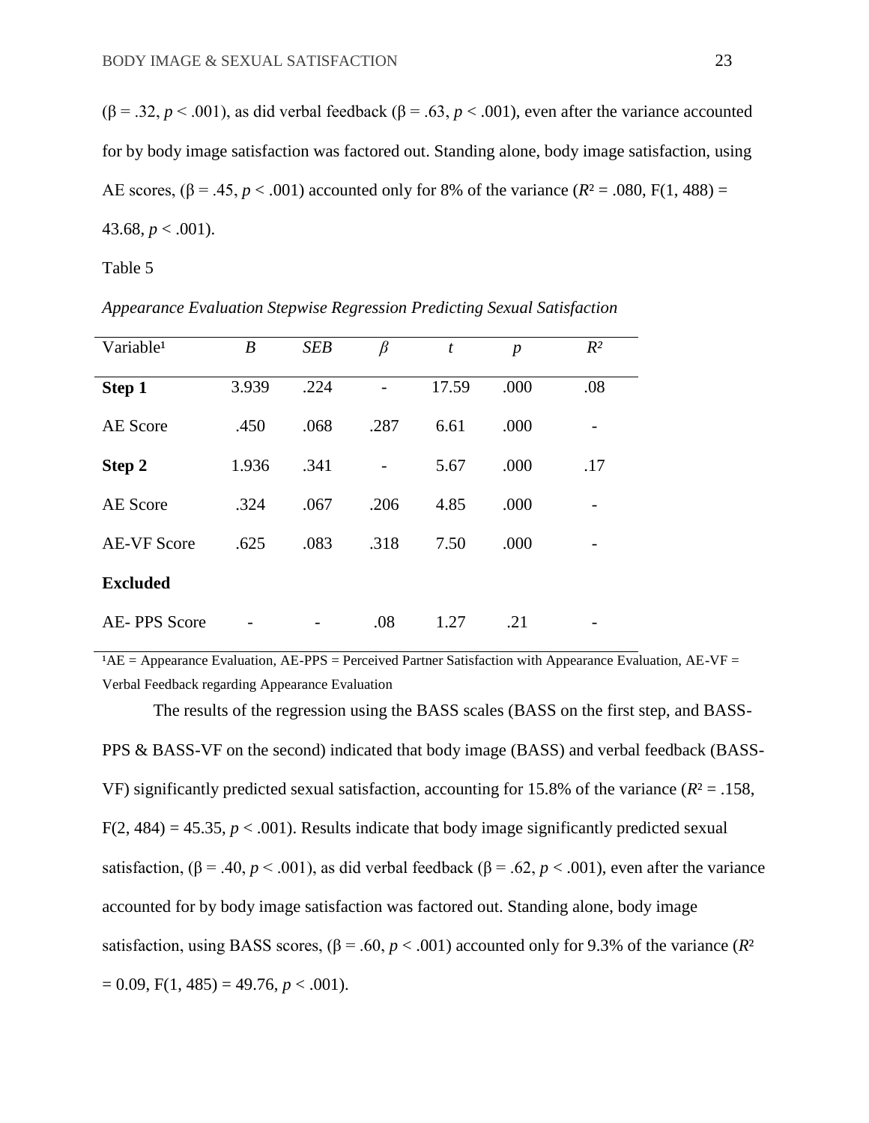$(β = .32, p < .001)$ , as did verbal feedback  $(β = .63, p < .001)$ , even after the variance accounted for by body image satisfaction was factored out. Standing alone, body image satisfaction, using AE scores,  $(\beta = .45, p < .001)$  accounted only for 8% of the variance  $(R^2 = .080, F(1, 488))$ 43.68,  $p < .001$ ).

## Table 5

| Variable <sup>1</sup> | B     | <b>SEB</b> | β    | t     | $\boldsymbol{p}$ | $R^2$ |
|-----------------------|-------|------------|------|-------|------------------|-------|
| Step 1                | 3.939 | .224       |      | 17.59 | .000             | .08   |
| AE Score              | .450  | .068       | .287 | 6.61  | .000             |       |
| Step 2                | 1.936 | .341       |      | 5.67  | .000             | .17   |
| <b>AE</b> Score       | .324  | .067       | .206 | 4.85  | .000             |       |
| <b>AE-VF Score</b>    | .625  | .083       | .318 | 7.50  | .000             |       |
| <b>Excluded</b>       |       |            |      |       |                  |       |
| <b>AE-PPS Score</b>   |       |            | .08  | 1.27  | .21              |       |

*Appearance Evaluation Stepwise Regression Predicting Sexual Satisfaction*

 $A = A$ ppearance Evaluation, AE-PPS = Perceived Partner Satisfaction with Appearance Evaluation, AE-VF = Verbal Feedback regarding Appearance Evaluation

The results of the regression using the BASS scales (BASS on the first step, and BASS-PPS & BASS-VF on the second) indicated that body image (BASS) and verbal feedback (BASS-VF) significantly predicted sexual satisfaction, accounting for 15.8% of the variance  $(R^2 = .158, )$  $F(2, 484) = 45.35, p < .001$ ). Results indicate that body image significantly predicted sexual satisfaction,  $(\beta = .40, p < .001)$ , as did verbal feedback  $(\beta = .62, p < .001)$ , even after the variance accounted for by body image satisfaction was factored out. Standing alone, body image satisfaction, using BASS scores,  $(\beta = .60, p < .001)$  accounted only for 9.3% of the variance  $(R^2)$  $= 0.09$ , F(1, 485) = 49.76, *p* < .001).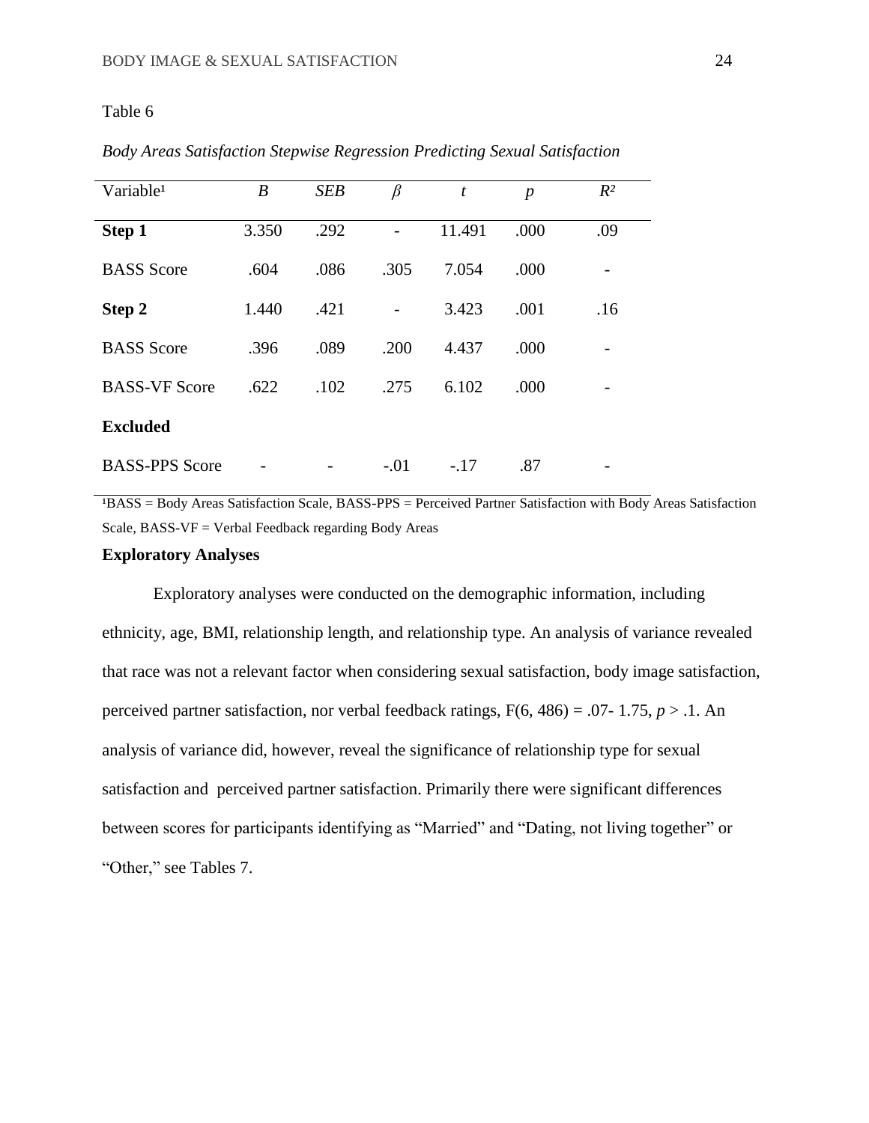| Variable <sup>1</sup> | $\boldsymbol{B}$ | <b>SEB</b> | $\beta$ | t      | $\boldsymbol{p}$ | $R^2$ |  |
|-----------------------|------------------|------------|---------|--------|------------------|-------|--|
| Step 1                | 3.350            | .292       |         | 11.491 | .000             | .09   |  |
| <b>BASS</b> Score     | .604             | .086       | .305    | 7.054  | .000             |       |  |
| Step 2                | 1.440            | .421       |         | 3.423  | .001             | .16   |  |
| <b>BASS</b> Score     | .396             | .089       | .200    | 4.437  | .000             |       |  |
| <b>BASS-VF Score</b>  | .622             | .102       | .275    | 6.102  | .000             |       |  |
| <b>Excluded</b>       |                  |            |         |        |                  |       |  |
| <b>BASS-PPS Score</b> |                  |            | $-.01$  | $-.17$ | .87              |       |  |

*Body Areas Satisfaction Stepwise Regression Predicting Sexual Satisfaction*

<sup>1</sup>BASS = Body Areas Satisfaction Scale, BASS-PPS = Perceived Partner Satisfaction with Body Areas Satisfaction Scale, BASS-VF = Verbal Feedback regarding Body Areas

## **Exploratory Analyses**

Exploratory analyses were conducted on the demographic information, including ethnicity, age, BMI, relationship length, and relationship type. An analysis of variance revealed that race was not a relevant factor when considering sexual satisfaction, body image satisfaction, perceived partner satisfaction, nor verbal feedback ratings,  $F(6, 486) = .07 - 1.75$ ,  $p > .1$ . An analysis of variance did, however, reveal the significance of relationship type for sexual satisfaction and perceived partner satisfaction. Primarily there were significant differences between scores for participants identifying as "Married" and "Dating, not living together" or "Other," see Tables 7.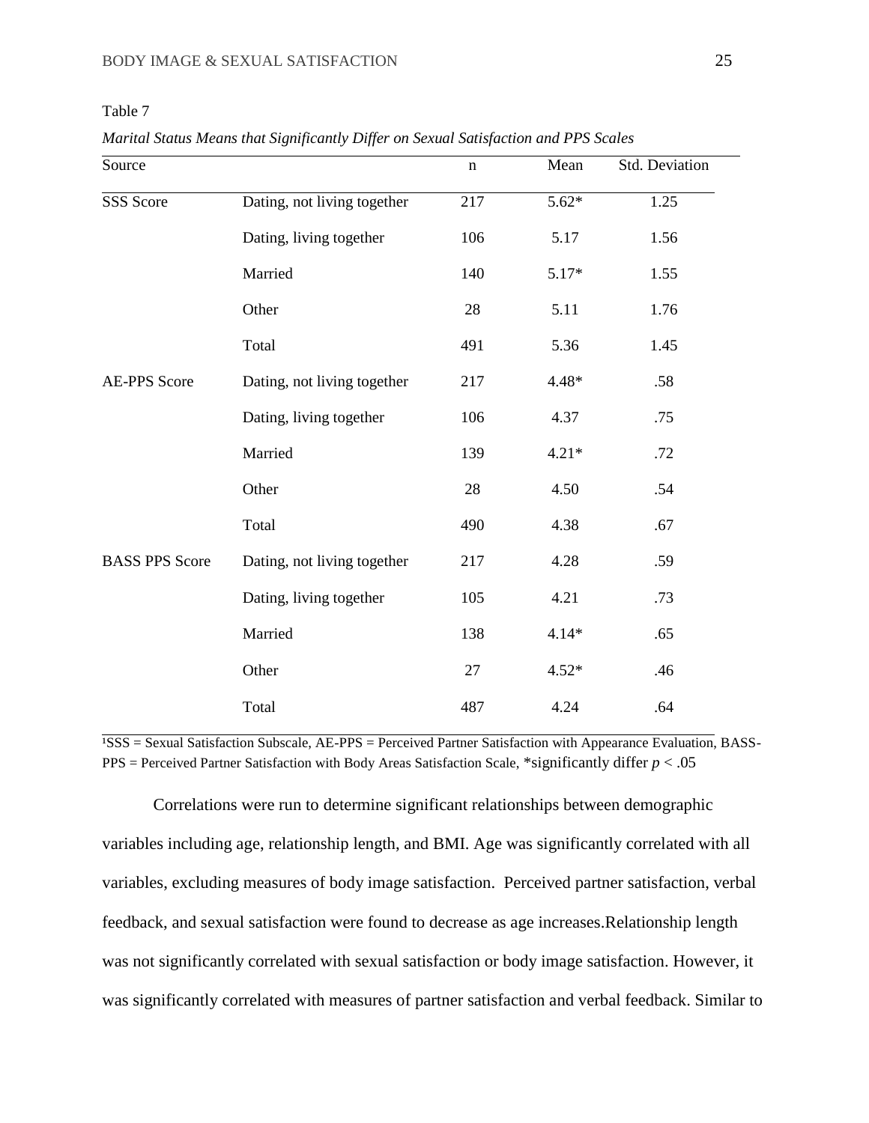*Marital Status Means that Significantly Differ on Sexual Satisfaction and PPS Scales* 

| Source                |                             | $\mathbf n$ | Mean    | Std. Deviation |
|-----------------------|-----------------------------|-------------|---------|----------------|
| SSS Score             | Dating, not living together | 217         | $5.62*$ | 1.25           |
|                       | Dating, living together     | 106         | 5.17    | 1.56           |
|                       | Married                     | 140         | 5.17*   | 1.55           |
|                       | Other                       | 28          | 5.11    | 1.76           |
|                       | Total                       | 491         | 5.36    | 1.45           |
| <b>AE-PPS Score</b>   | Dating, not living together | 217         | 4.48*   | .58            |
|                       | Dating, living together     | 106         | 4.37    | .75            |
|                       | Married                     | 139         | $4.21*$ | .72            |
|                       | Other                       | 28          | 4.50    | .54            |
|                       | Total                       | 490         | 4.38    | .67            |
| <b>BASS PPS Score</b> | Dating, not living together | 217         | 4.28    | .59            |
|                       | Dating, living together     | 105         | 4.21    | .73            |
|                       | Married                     | 138         | $4.14*$ | .65            |
|                       | Other                       | 27          | $4.52*$ | .46            |
|                       | Total                       | 487         | 4.24    | .64            |

 $\overline{PSSS}$  = Sexual Satisfaction Subscale, AE-PPS = Perceived Partner Satisfaction with Appearance Evaluation, BASS-PPS = Perceived Partner Satisfaction with Body Areas Satisfaction Scale, \*significantly differ *p* < .05

Correlations were run to determine significant relationships between demographic variables including age, relationship length, and BMI. Age was significantly correlated with all variables, excluding measures of body image satisfaction. Perceived partner satisfaction, verbal feedback, and sexual satisfaction were found to decrease as age increases.Relationship length was not significantly correlated with sexual satisfaction or body image satisfaction. However, it was significantly correlated with measures of partner satisfaction and verbal feedback. Similar to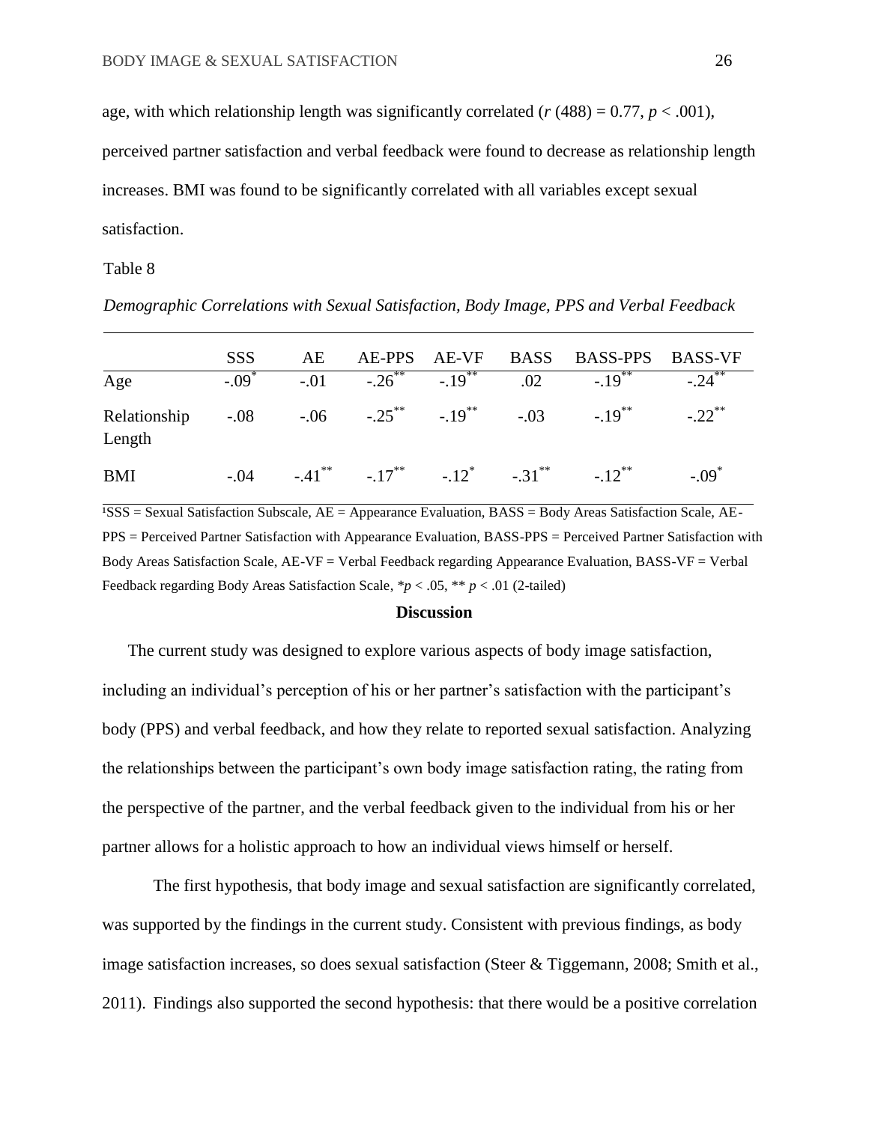age, with which relationship length was significantly correlated  $(r (488) = 0.77, p < .001)$ ,

perceived partner satisfaction and verbal feedback were found to decrease as relationship length increases. BMI was found to be significantly correlated with all variables except sexual satisfaction.

Table 8

*Demographic Correlations with Sexual Satisfaction, Body Image, PPS and Verbal Feedback*

|                        | <b>SSS</b>        | AE |                                                       |  | AE-PPS AE-VF BASS BASS-PPS BASS-VF                                  |         |
|------------------------|-------------------|----|-------------------------------------------------------|--|---------------------------------------------------------------------|---------|
| Age                    | $-.09^{^{\circ}}$ |    | $-0.01$ $-0.26$ $-19$ $-0.19$ $-0.19$ $-19$ $-19$     |  |                                                                     | $-24$   |
| Relationship<br>Length |                   |    |                                                       |  | $-0.08$ $-0.06$ $-0.25$ ** $-0.19$ ** $-0.03$ $-0.19$ ** $-0.22$ ** |         |
| <b>BMI</b>             | $-.04$            |    | $-41^{**}$ $-17^{**}$ $-12^{*}$ $-31^{**}$ $-12^{**}$ |  |                                                                     | $-.09*$ |

 $\overline{SSS}$  = Sexual Satisfaction Subscale,  $AE$  = Appearance Evaluation, BASS = Body Areas Satisfaction Scale, AE-PPS = Perceived Partner Satisfaction with Appearance Evaluation, BASS-PPS = Perceived Partner Satisfaction with Body Areas Satisfaction Scale, AE-VF = Verbal Feedback regarding Appearance Evaluation, BASS-VF = Verbal Feedback regarding Body Areas Satisfaction Scale, \**p* < .05, \*\* *p* < .01 (2-tailed)

## **Discussion**

The current study was designed to explore various aspects of body image satisfaction, including an individual's perception of his or her partner's satisfaction with the participant's body (PPS) and verbal feedback, and how they relate to reported sexual satisfaction. Analyzing the relationships between the participant's own body image satisfaction rating, the rating from the perspective of the partner, and the verbal feedback given to the individual from his or her partner allows for a holistic approach to how an individual views himself or herself.

The first hypothesis, that body image and sexual satisfaction are significantly correlated, was supported by the findings in the current study. Consistent with previous findings, as body image satisfaction increases, so does sexual satisfaction (Steer & Tiggemann, 2008; Smith et al., 2011). Findings also supported the second hypothesis: that there would be a positive correlation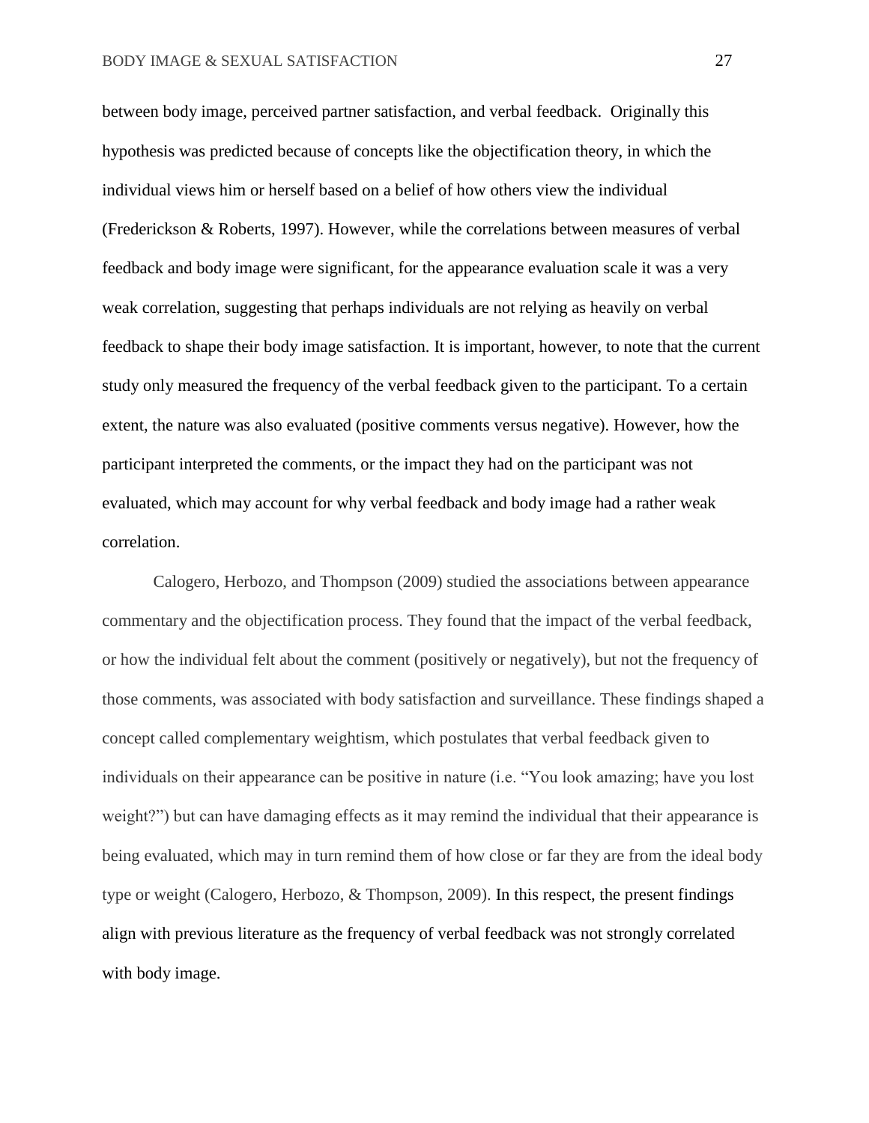between body image, perceived partner satisfaction, and verbal feedback. Originally this hypothesis was predicted because of concepts like the objectification theory, in which the individual views him or herself based on a belief of how others view the individual (Frederickson & Roberts, 1997). However, while the correlations between measures of verbal feedback and body image were significant, for the appearance evaluation scale it was a very weak correlation, suggesting that perhaps individuals are not relying as heavily on verbal feedback to shape their body image satisfaction. It is important, however, to note that the current study only measured the frequency of the verbal feedback given to the participant. To a certain extent, the nature was also evaluated (positive comments versus negative). However, how the participant interpreted the comments, or the impact they had on the participant was not evaluated, which may account for why verbal feedback and body image had a rather weak correlation.

Calogero, Herbozo, and Thompson (2009) studied the associations between appearance commentary and the objectification process. They found that the impact of the verbal feedback, or how the individual felt about the comment (positively or negatively), but not the frequency of those comments, was associated with body satisfaction and surveillance. These findings shaped a concept called complementary weightism, which postulates that verbal feedback given to individuals on their appearance can be positive in nature (i.e. "You look amazing; have you lost weight?") but can have damaging effects as it may remind the individual that their appearance is being evaluated, which may in turn remind them of how close or far they are from the ideal body type or weight (Calogero, Herbozo, & Thompson, 2009). In this respect, the present findings align with previous literature as the frequency of verbal feedback was not strongly correlated with body image.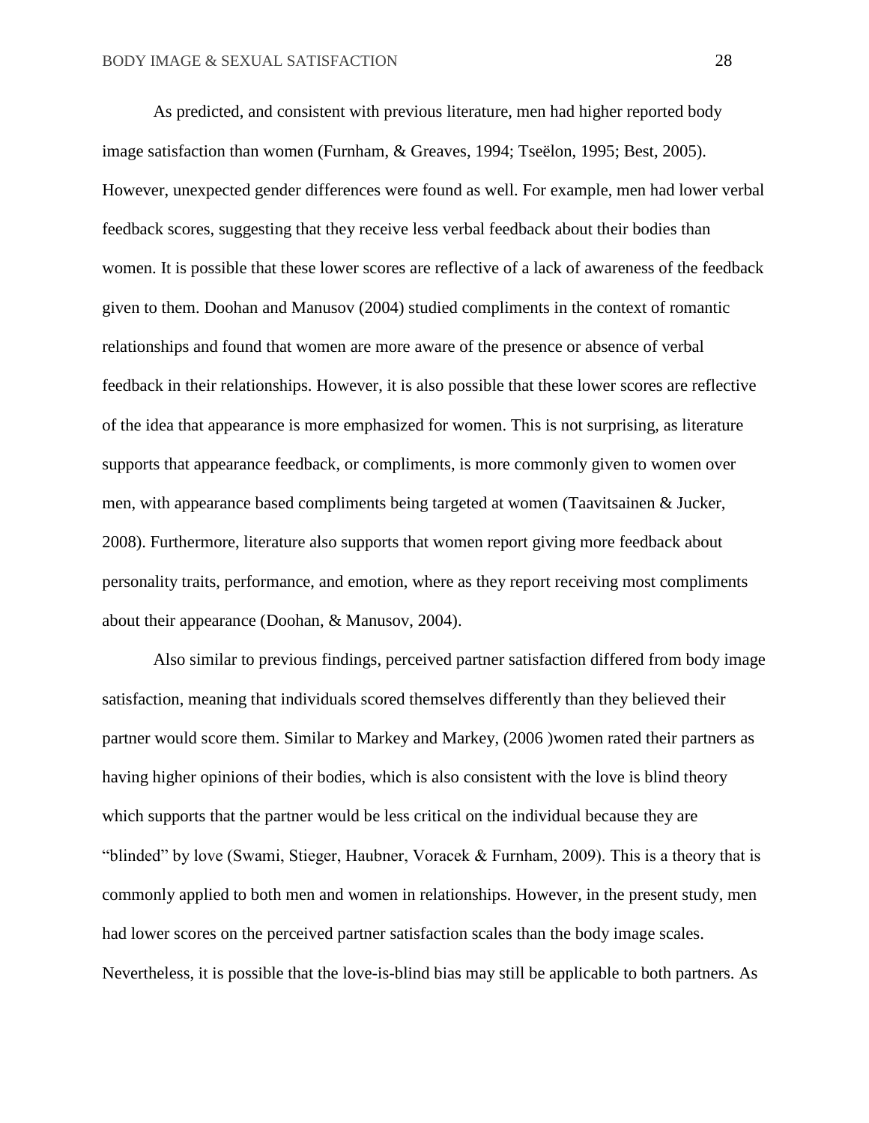As predicted, and consistent with previous literature, men had higher reported body image satisfaction than women (Furnham, & Greaves, 1994; Tseëlon, 1995; Best, 2005). However, unexpected gender differences were found as well. For example, men had lower verbal feedback scores, suggesting that they receive less verbal feedback about their bodies than women. It is possible that these lower scores are reflective of a lack of awareness of the feedback given to them. Doohan and Manusov (2004) studied compliments in the context of romantic relationships and found that women are more aware of the presence or absence of verbal feedback in their relationships. However, it is also possible that these lower scores are reflective of the idea that appearance is more emphasized for women. This is not surprising, as literature supports that appearance feedback, or compliments, is more commonly given to women over men, with appearance based compliments being targeted at women (Taavitsainen & Jucker, 2008). Furthermore, literature also supports that women report giving more feedback about personality traits, performance, and emotion, where as they report receiving most compliments about their appearance (Doohan, & Manusov, 2004).

Also similar to previous findings, perceived partner satisfaction differed from body image satisfaction, meaning that individuals scored themselves differently than they believed their partner would score them. Similar to Markey and Markey, (2006 )women rated their partners as having higher opinions of their bodies, which is also consistent with the love is blind theory which supports that the partner would be less critical on the individual because they are "blinded" by love (Swami, Stieger, Haubner, Voracek  $\&$  Furnham, 2009). This is a theory that is commonly applied to both men and women in relationships. However, in the present study, men had lower scores on the perceived partner satisfaction scales than the body image scales. Nevertheless, it is possible that the love-is-blind bias may still be applicable to both partners. As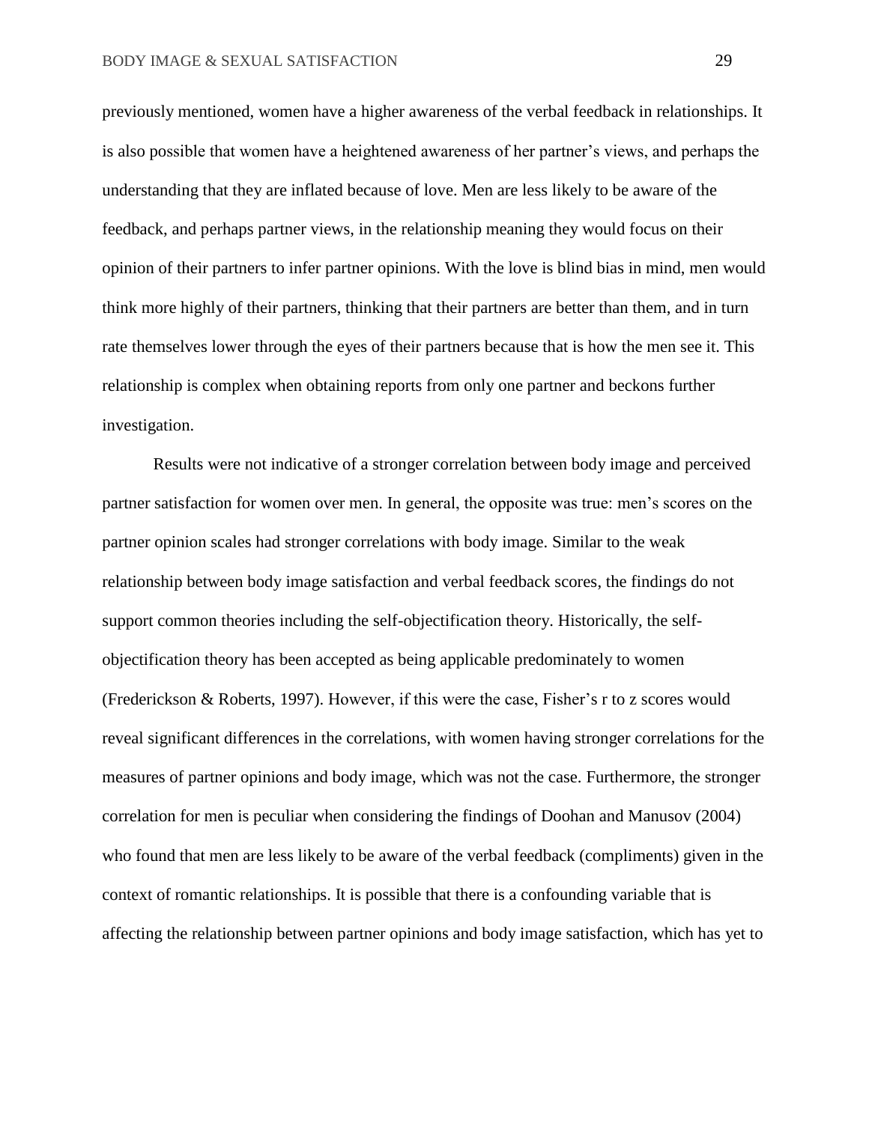previously mentioned, women have a higher awareness of the verbal feedback in relationships. It is also possible that women have a heightened awareness of her partner's views, and perhaps the understanding that they are inflated because of love. Men are less likely to be aware of the feedback, and perhaps partner views, in the relationship meaning they would focus on their opinion of their partners to infer partner opinions. With the love is blind bias in mind, men would think more highly of their partners, thinking that their partners are better than them, and in turn rate themselves lower through the eyes of their partners because that is how the men see it. This relationship is complex when obtaining reports from only one partner and beckons further investigation.

Results were not indicative of a stronger correlation between body image and perceived partner satisfaction for women over men. In general, the opposite was true: men's scores on the partner opinion scales had stronger correlations with body image. Similar to the weak relationship between body image satisfaction and verbal feedback scores, the findings do not support common theories including the self-objectification theory. Historically, the selfobjectification theory has been accepted as being applicable predominately to women (Frederickson & Roberts, 1997). However, if this were the case, Fisher's r to z scores would reveal significant differences in the correlations, with women having stronger correlations for the measures of partner opinions and body image, which was not the case. Furthermore, the stronger correlation for men is peculiar when considering the findings of Doohan and Manusov (2004) who found that men are less likely to be aware of the verbal feedback (compliments) given in the context of romantic relationships. It is possible that there is a confounding variable that is affecting the relationship between partner opinions and body image satisfaction, which has yet to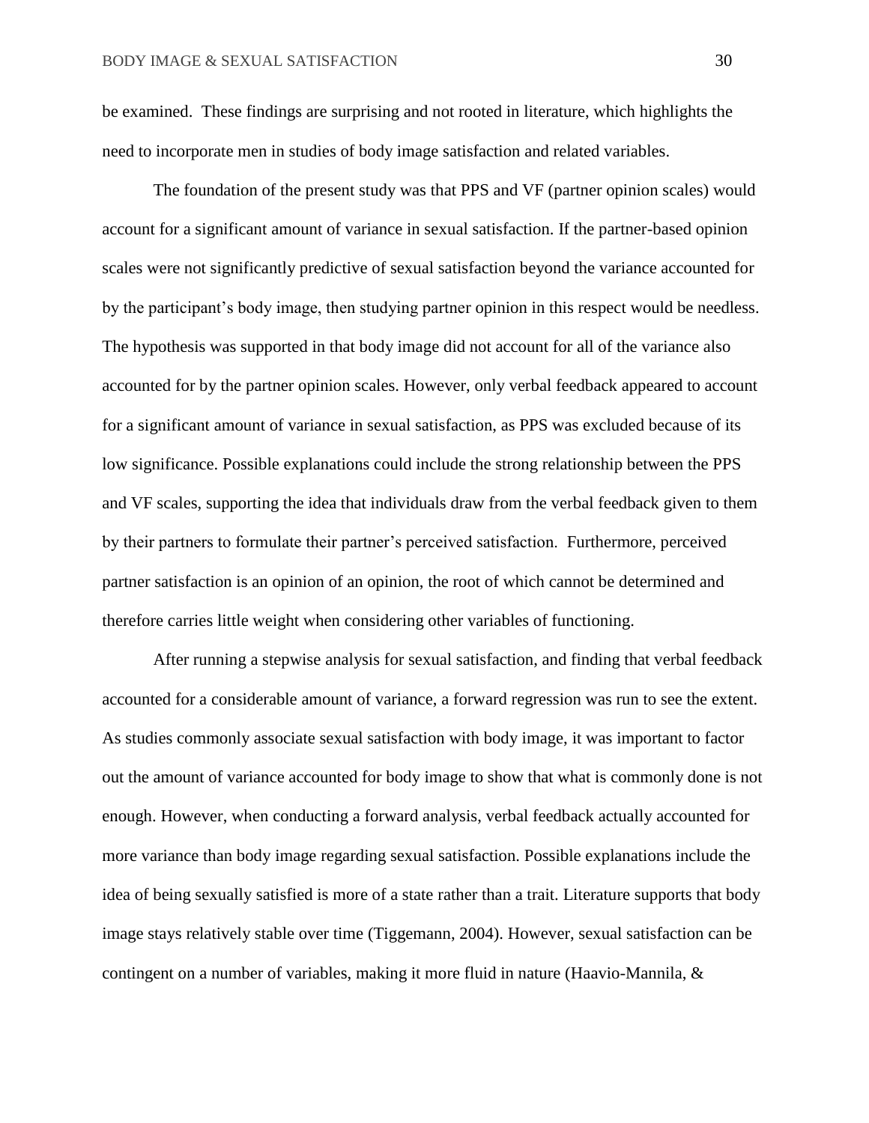be examined. These findings are surprising and not rooted in literature, which highlights the need to incorporate men in studies of body image satisfaction and related variables.

The foundation of the present study was that PPS and VF (partner opinion scales) would account for a significant amount of variance in sexual satisfaction. If the partner-based opinion scales were not significantly predictive of sexual satisfaction beyond the variance accounted for by the participant's body image, then studying partner opinion in this respect would be needless. The hypothesis was supported in that body image did not account for all of the variance also accounted for by the partner opinion scales. However, only verbal feedback appeared to account for a significant amount of variance in sexual satisfaction, as PPS was excluded because of its low significance. Possible explanations could include the strong relationship between the PPS and VF scales, supporting the idea that individuals draw from the verbal feedback given to them by their partners to formulate their partner's perceived satisfaction. Furthermore, perceived partner satisfaction is an opinion of an opinion, the root of which cannot be determined and therefore carries little weight when considering other variables of functioning.

After running a stepwise analysis for sexual satisfaction, and finding that verbal feedback accounted for a considerable amount of variance, a forward regression was run to see the extent. As studies commonly associate sexual satisfaction with body image, it was important to factor out the amount of variance accounted for body image to show that what is commonly done is not enough. However, when conducting a forward analysis, verbal feedback actually accounted for more variance than body image regarding sexual satisfaction. Possible explanations include the idea of being sexually satisfied is more of a state rather than a trait. Literature supports that body image stays relatively stable over time (Tiggemann, 2004). However, sexual satisfaction can be contingent on a number of variables, making it more fluid in nature (Haavio-Mannila, &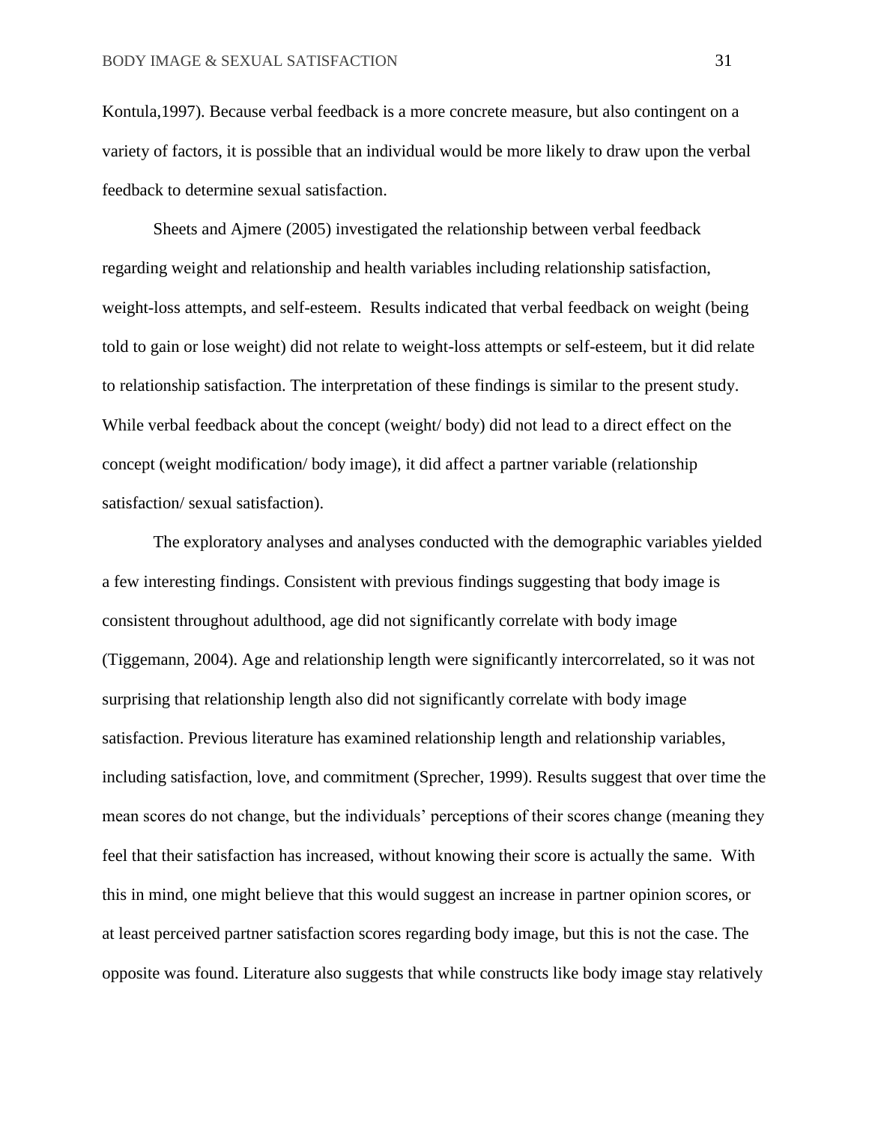Kontula,1997). Because verbal feedback is a more concrete measure, but also contingent on a variety of factors, it is possible that an individual would be more likely to draw upon the verbal feedback to determine sexual satisfaction.

Sheets and Ajmere (2005) investigated the relationship between verbal feedback regarding weight and relationship and health variables including relationship satisfaction, weight-loss attempts, and self-esteem. Results indicated that verbal feedback on weight (being told to gain or lose weight) did not relate to weight-loss attempts or self-esteem, but it did relate to relationship satisfaction. The interpretation of these findings is similar to the present study. While verbal feedback about the concept (weight/ body) did not lead to a direct effect on the concept (weight modification/ body image), it did affect a partner variable (relationship satisfaction/ sexual satisfaction).

The exploratory analyses and analyses conducted with the demographic variables yielded a few interesting findings. Consistent with previous findings suggesting that body image is consistent throughout adulthood, age did not significantly correlate with body image (Tiggemann, 2004). Age and relationship length were significantly intercorrelated, so it was not surprising that relationship length also did not significantly correlate with body image satisfaction. Previous literature has examined relationship length and relationship variables, including satisfaction, love, and commitment (Sprecher, 1999). Results suggest that over time the mean scores do not change, but the individuals' perceptions of their scores change (meaning they feel that their satisfaction has increased, without knowing their score is actually the same. With this in mind, one might believe that this would suggest an increase in partner opinion scores, or at least perceived partner satisfaction scores regarding body image, but this is not the case. The opposite was found. Literature also suggests that while constructs like body image stay relatively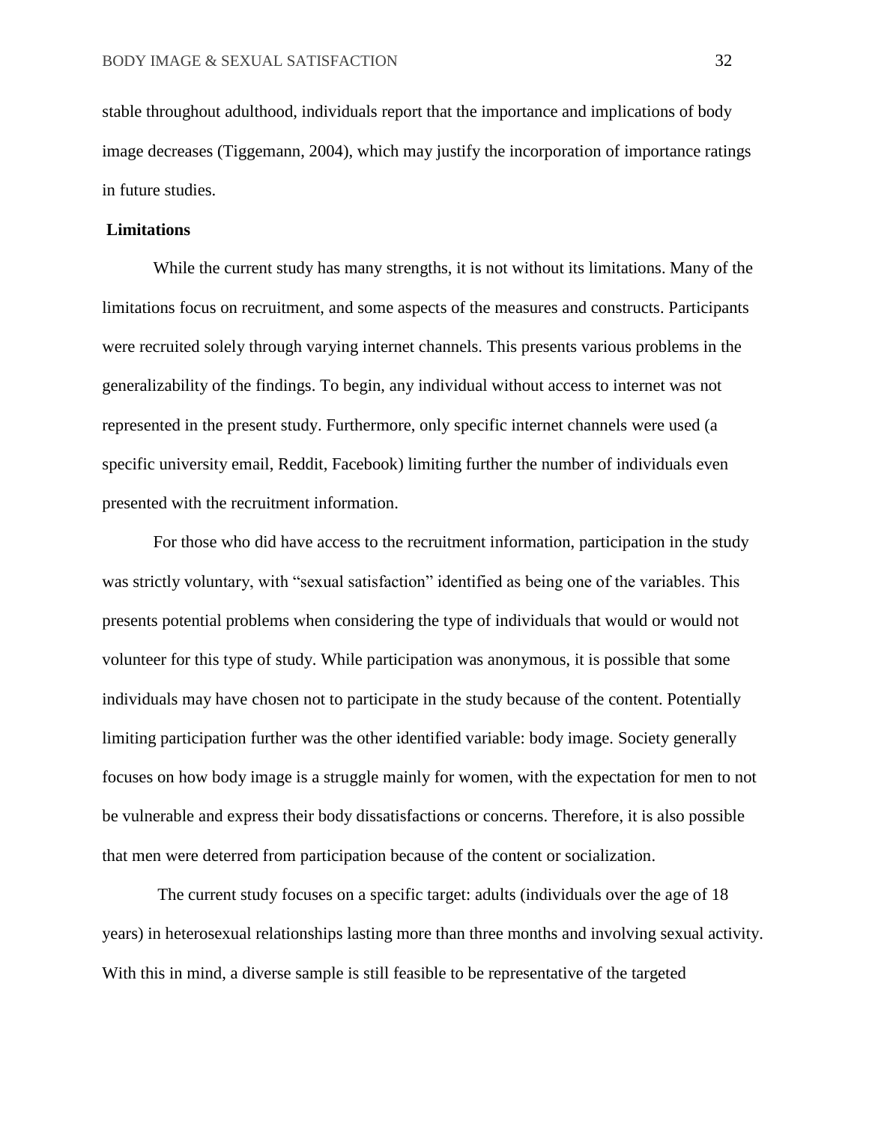stable throughout adulthood, individuals report that the importance and implications of body image decreases (Tiggemann, 2004), which may justify the incorporation of importance ratings in future studies.

## **Limitations**

While the current study has many strengths, it is not without its limitations. Many of the limitations focus on recruitment, and some aspects of the measures and constructs. Participants were recruited solely through varying internet channels. This presents various problems in the generalizability of the findings. To begin, any individual without access to internet was not represented in the present study. Furthermore, only specific internet channels were used (a specific university email, Reddit, Facebook) limiting further the number of individuals even presented with the recruitment information.

For those who did have access to the recruitment information, participation in the study was strictly voluntary, with "sexual satisfaction" identified as being one of the variables. This presents potential problems when considering the type of individuals that would or would not volunteer for this type of study. While participation was anonymous, it is possible that some individuals may have chosen not to participate in the study because of the content. Potentially limiting participation further was the other identified variable: body image. Society generally focuses on how body image is a struggle mainly for women, with the expectation for men to not be vulnerable and express their body dissatisfactions or concerns. Therefore, it is also possible that men were deterred from participation because of the content or socialization.

The current study focuses on a specific target: adults (individuals over the age of 18 years) in heterosexual relationships lasting more than three months and involving sexual activity. With this in mind, a diverse sample is still feasible to be representative of the targeted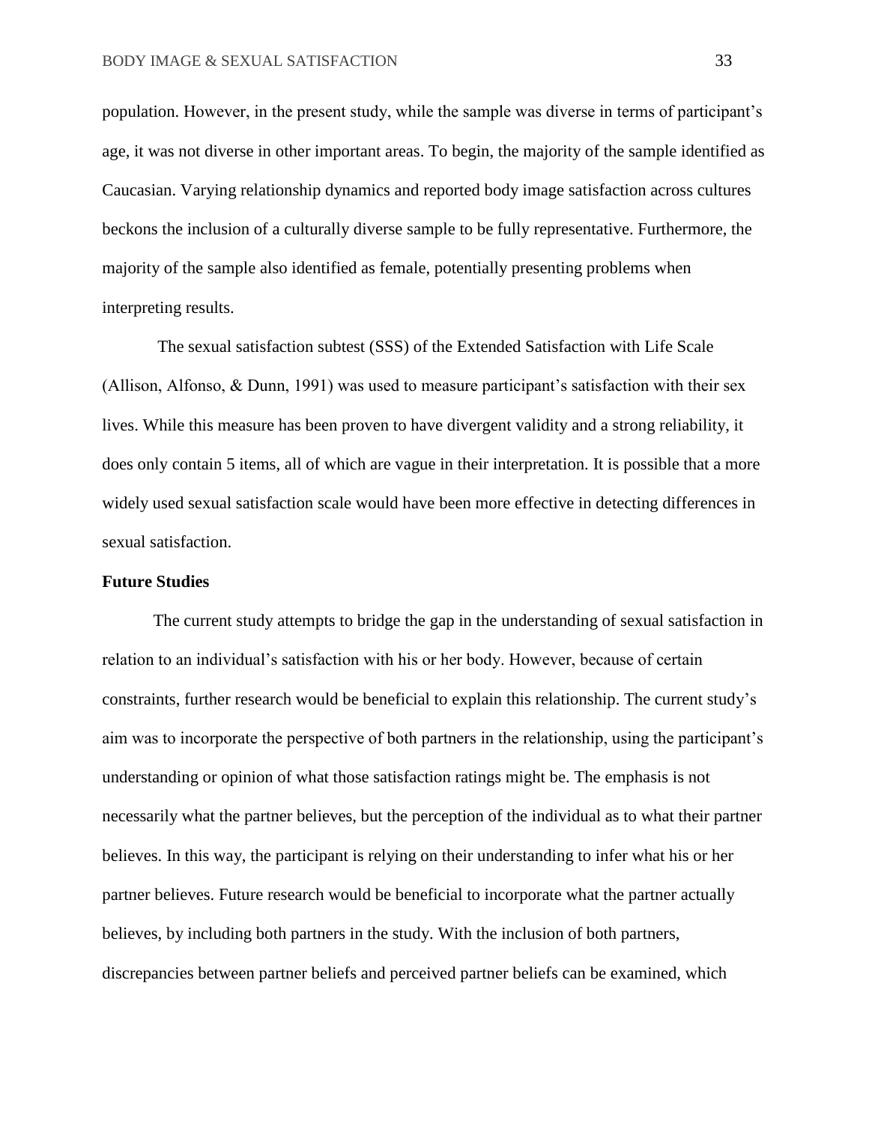population. However, in the present study, while the sample was diverse in terms of participant's age, it was not diverse in other important areas. To begin, the majority of the sample identified as Caucasian. Varying relationship dynamics and reported body image satisfaction across cultures beckons the inclusion of a culturally diverse sample to be fully representative. Furthermore, the majority of the sample also identified as female, potentially presenting problems when interpreting results.

The sexual satisfaction subtest (SSS) of the Extended Satisfaction with Life Scale (Allison, Alfonso, & Dunn, 1991) was used to measure participant's satisfaction with their sex lives. While this measure has been proven to have divergent validity and a strong reliability, it does only contain 5 items, all of which are vague in their interpretation. It is possible that a more widely used sexual satisfaction scale would have been more effective in detecting differences in sexual satisfaction.

#### **Future Studies**

The current study attempts to bridge the gap in the understanding of sexual satisfaction in relation to an individual's satisfaction with his or her body. However, because of certain constraints, further research would be beneficial to explain this relationship. The current study's aim was to incorporate the perspective of both partners in the relationship, using the participant's understanding or opinion of what those satisfaction ratings might be. The emphasis is not necessarily what the partner believes, but the perception of the individual as to what their partner believes. In this way, the participant is relying on their understanding to infer what his or her partner believes. Future research would be beneficial to incorporate what the partner actually believes, by including both partners in the study. With the inclusion of both partners, discrepancies between partner beliefs and perceived partner beliefs can be examined, which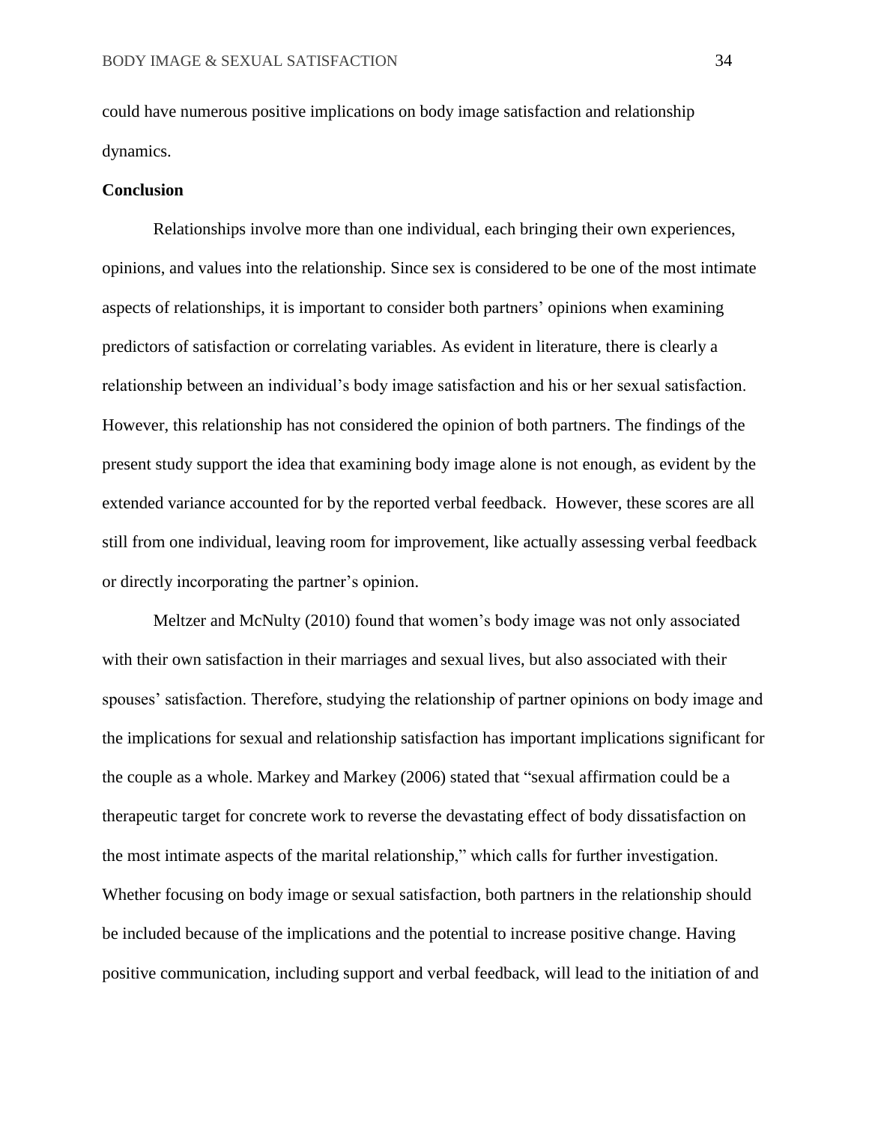could have numerous positive implications on body image satisfaction and relationship dynamics.

#### **Conclusion**

Relationships involve more than one individual, each bringing their own experiences, opinions, and values into the relationship. Since sex is considered to be one of the most intimate aspects of relationships, it is important to consider both partners' opinions when examining predictors of satisfaction or correlating variables. As evident in literature, there is clearly a relationship between an individual's body image satisfaction and his or her sexual satisfaction. However, this relationship has not considered the opinion of both partners. The findings of the present study support the idea that examining body image alone is not enough, as evident by the extended variance accounted for by the reported verbal feedback. However, these scores are all still from one individual, leaving room for improvement, like actually assessing verbal feedback or directly incorporating the partner's opinion.

Meltzer and McNulty (2010) found that women's body image was not only associated with their own satisfaction in their marriages and sexual lives, but also associated with their spouses' satisfaction. Therefore, studying the relationship of partner opinions on body image and the implications for sexual and relationship satisfaction has important implications significant for the couple as a whole. Markey and Markey (2006) stated that "sexual affirmation could be a therapeutic target for concrete work to reverse the devastating effect of body dissatisfaction on the most intimate aspects of the marital relationship," which calls for further investigation. Whether focusing on body image or sexual satisfaction, both partners in the relationship should be included because of the implications and the potential to increase positive change. Having positive communication, including support and verbal feedback, will lead to the initiation of and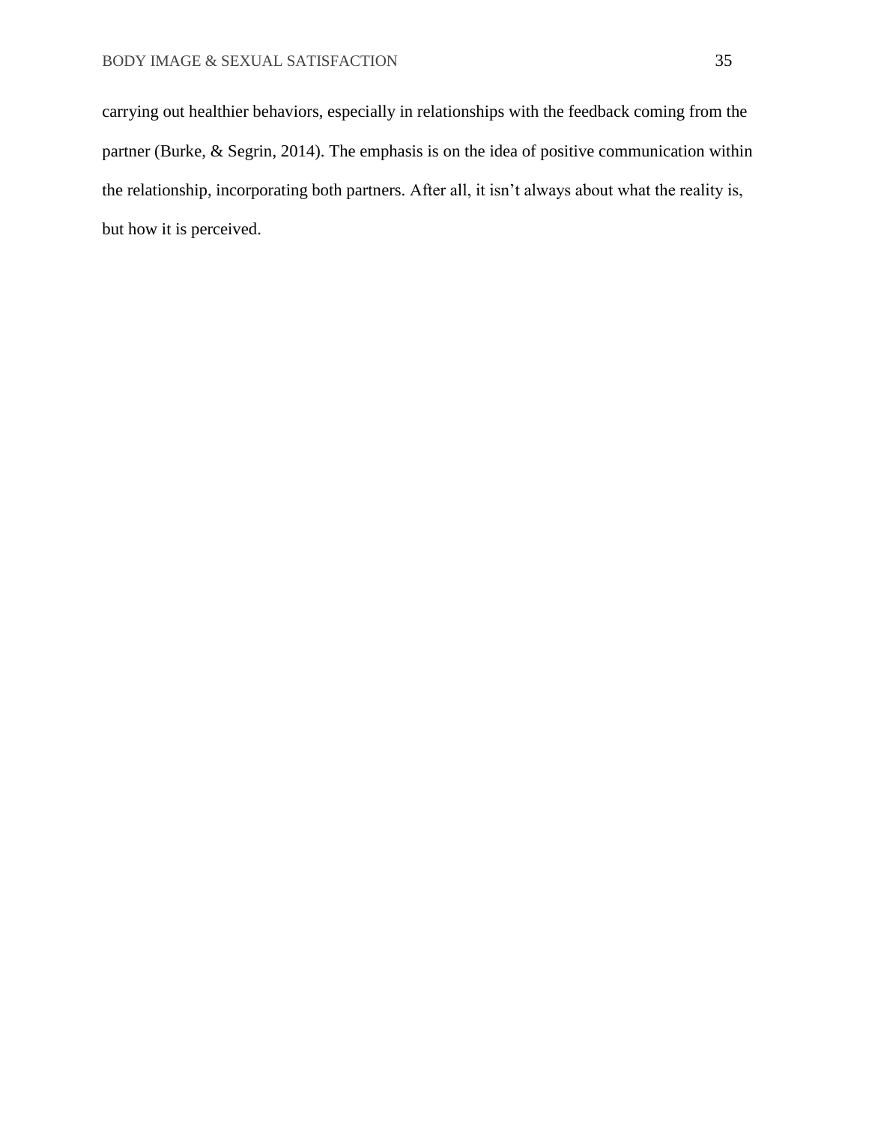carrying out healthier behaviors, especially in relationships with the feedback coming from the partner (Burke, & Segrin, 2014). The emphasis is on the idea of positive communication within the relationship, incorporating both partners. After all, it isn't always about what the reality is, but how it is perceived.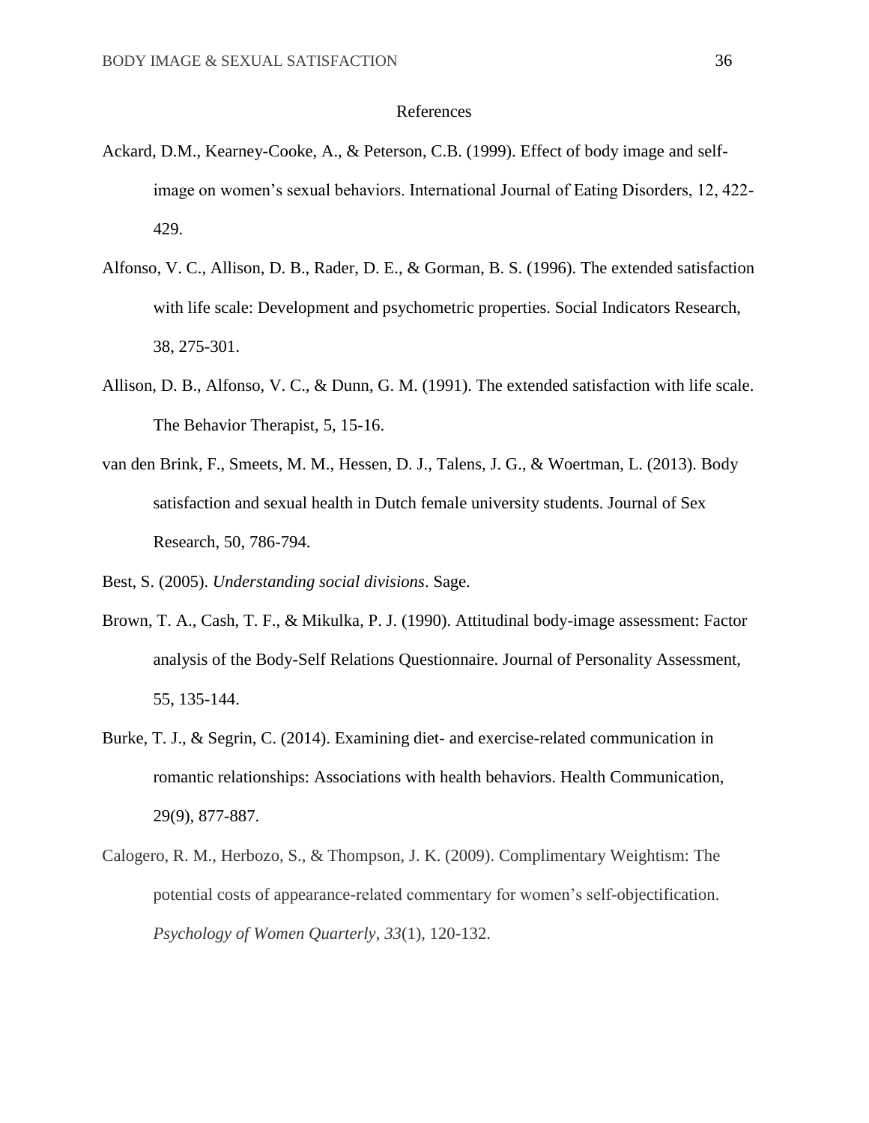## References

- Ackard, D.M., Kearney-Cooke, A., & Peterson, C.B. (1999). Effect of body image and selfimage on women's sexual behaviors. International Journal of Eating Disorders, 12, 422- 429.
- Alfonso, V. C., Allison, D. B., Rader, D. E., & Gorman, B. S. (1996). The extended satisfaction with life scale: Development and psychometric properties. Social Indicators Research, 38, 275-301.
- Allison, D. B., Alfonso, V. C., & Dunn, G. M. (1991). The extended satisfaction with life scale. The Behavior Therapist, 5, 15-16.
- van den Brink, F., Smeets, M. M., Hessen, D. J., Talens, J. G., & Woertman, L. (2013). Body satisfaction and sexual health in Dutch female university students. Journal of Sex Research, 50, 786-794.
- Best, S. (2005). *Understanding social divisions*. Sage.
- Brown, T. A., Cash, T. F., & Mikulka, P. J. (1990). Attitudinal body-image assessment: Factor analysis of the Body-Self Relations Questionnaire. Journal of Personality Assessment, 55, 135-144.
- Burke, T. J., & Segrin, C. (2014). Examining diet- and exercise-related communication in romantic relationships: Associations with health behaviors. Health Communication, 29(9), 877-887.
- Calogero, R. M., Herbozo, S., & Thompson, J. K. (2009). Complimentary Weightism: The potential costs of appearance-related commentary for women's self-objectification. *Psychology of Women Quarterly*, *33*(1), 120-132.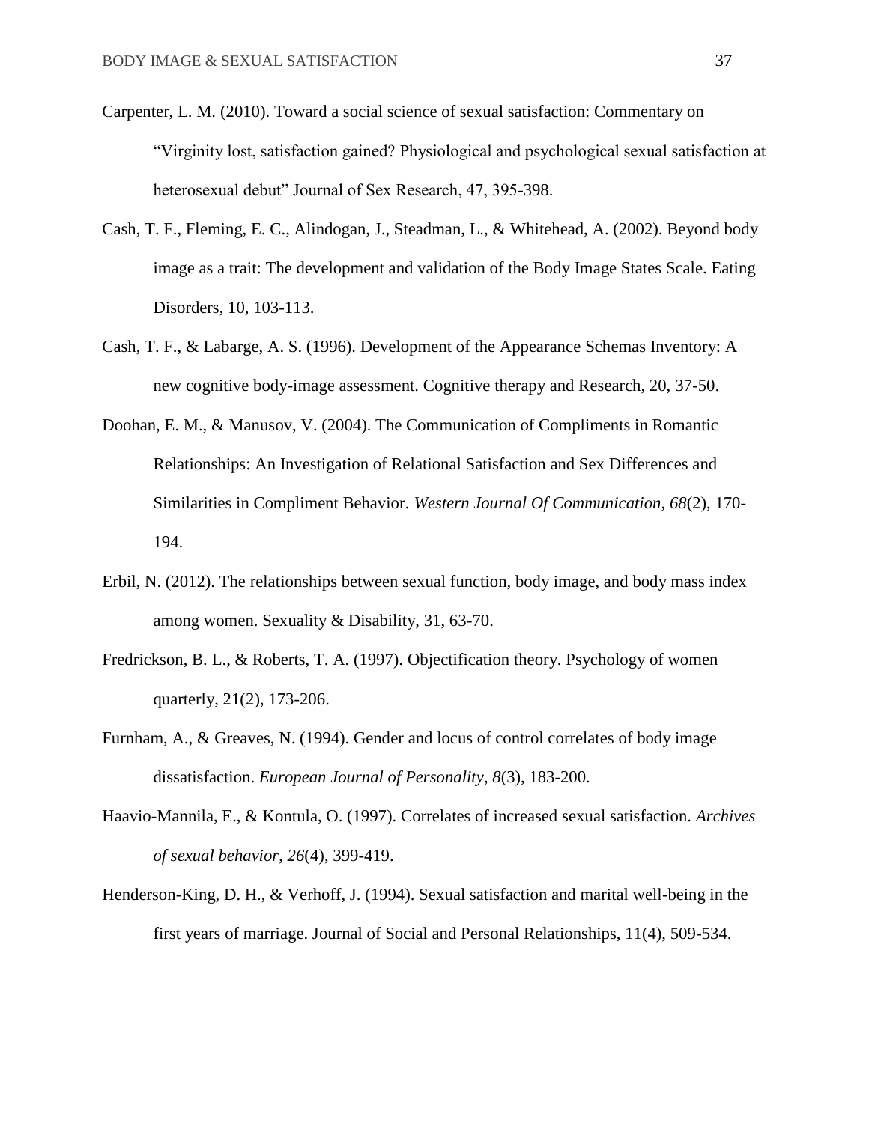- Carpenter, L. M. (2010). Toward a social science of sexual satisfaction: Commentary on "Virginity lost, satisfaction gained? Physiological and psychological sexual satisfaction at heterosexual debut" Journal of Sex Research, 47, 395-398.
- Cash, T. F., Fleming, E. C., Alindogan, J., Steadman, L., & Whitehead, A. (2002). Beyond body image as a trait: The development and validation of the Body Image States Scale. Eating Disorders, 10, 103-113.
- Cash, T. F., & Labarge, A. S. (1996). Development of the Appearance Schemas Inventory: A new cognitive body-image assessment. Cognitive therapy and Research, 20, 37-50.
- Doohan, E. M., & Manusov, V. (2004). The Communication of Compliments in Romantic Relationships: An Investigation of Relational Satisfaction and Sex Differences and Similarities in Compliment Behavior. *Western Journal Of Communication*, *68*(2), 170- 194.
- Erbil, N. (2012). The relationships between sexual function, body image, and body mass index among women. Sexuality & Disability, 31, 63-70.
- Fredrickson, B. L., & Roberts, T. A. (1997). Objectification theory. Psychology of women quarterly, 21(2), 173-206.
- Furnham, A., & Greaves, N. (1994). Gender and locus of control correlates of body image dissatisfaction. *European Journal of Personality*, *8*(3), 183-200.
- Haavio-Mannila, E., & Kontula, O. (1997). Correlates of increased sexual satisfaction. *Archives of sexual behavior*, *26*(4), 399-419.
- Henderson-King, D. H., & Verhoff, J. (1994). Sexual satisfaction and marital well-being in the first years of marriage. Journal of Social and Personal Relationships, 11(4), 509-534.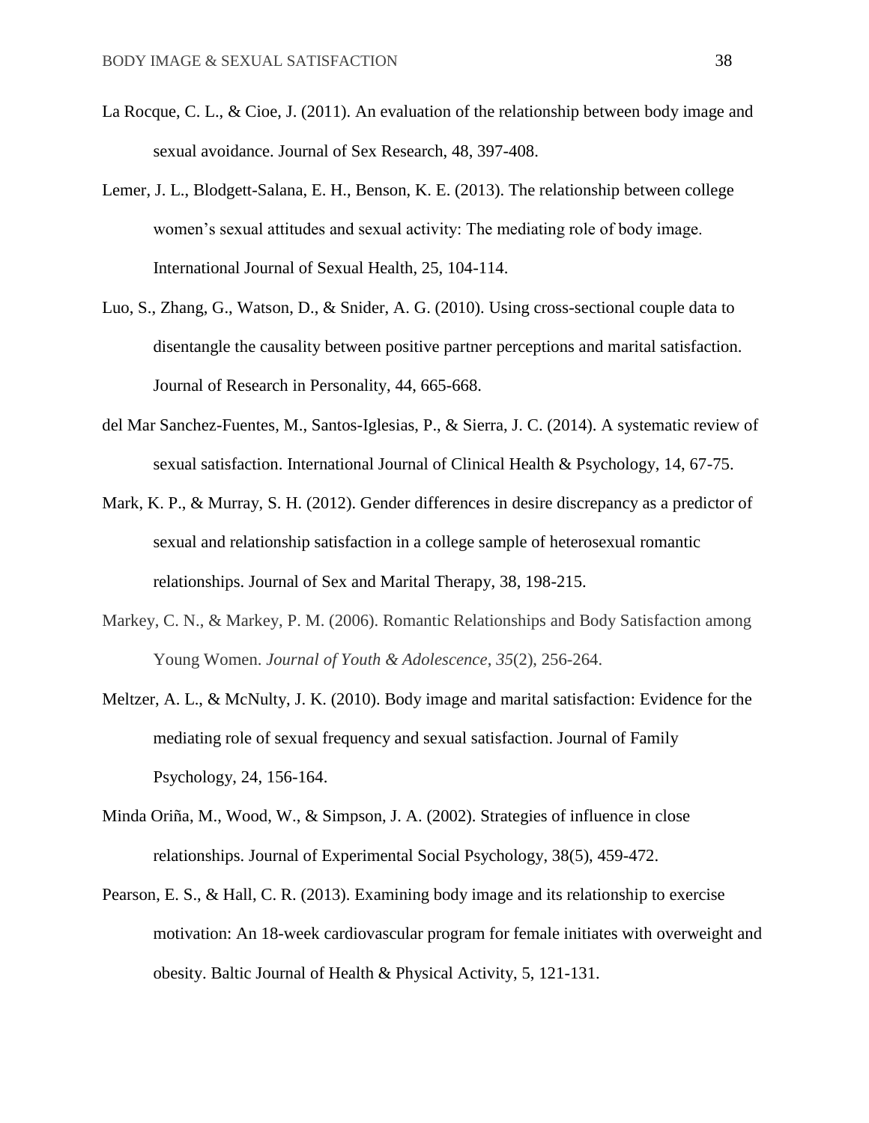- La Rocque, C. L., & Cioe, J. (2011). An evaluation of the relationship between body image and sexual avoidance. Journal of Sex Research, 48, 397-408.
- Lemer, J. L., Blodgett-Salana, E. H., Benson, K. E. (2013). The relationship between college women's sexual attitudes and sexual activity: The mediating role of body image. International Journal of Sexual Health, 25, 104-114.
- Luo, S., Zhang, G., Watson, D., & Snider, A. G. (2010). Using cross-sectional couple data to disentangle the causality between positive partner perceptions and marital satisfaction. Journal of Research in Personality, 44, 665-668.
- del Mar Sanchez-Fuentes, M., Santos-Iglesias, P., & Sierra, J. C. (2014). A systematic review of sexual satisfaction. International Journal of Clinical Health & Psychology, 14, 67-75.
- Mark, K. P., & Murray, S. H. (2012). Gender differences in desire discrepancy as a predictor of sexual and relationship satisfaction in a college sample of heterosexual romantic relationships. Journal of Sex and Marital Therapy, 38, 198-215.
- Markey, C. N., & Markey, P. M. (2006). Romantic Relationships and Body Satisfaction among Young Women. *Journal of Youth & Adolescence*, *35*(2), 256-264.
- Meltzer, A. L., & McNulty, J. K. (2010). Body image and marital satisfaction: Evidence for the mediating role of sexual frequency and sexual satisfaction. Journal of Family Psychology, 24, 156-164.
- Minda Oriña, M., Wood, W., & Simpson, J. A. (2002). Strategies of influence in close relationships. Journal of Experimental Social Psychology, 38(5), 459-472.
- Pearson, E. S., & Hall, C. R. (2013). Examining body image and its relationship to exercise motivation: An 18-week cardiovascular program for female initiates with overweight and obesity. Baltic Journal of Health & Physical Activity, 5, 121-131.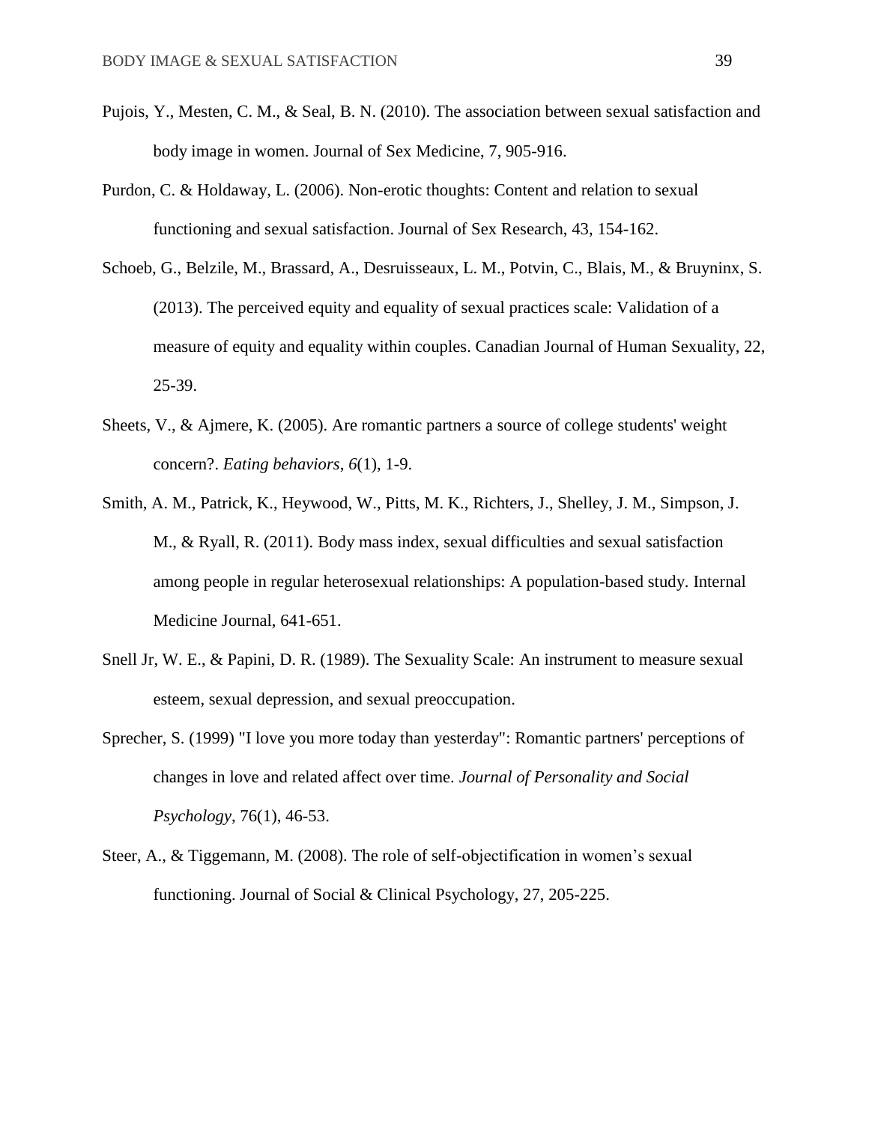- Pujois, Y., Mesten, C. M., & Seal, B. N. (2010). The association between sexual satisfaction and body image in women. Journal of Sex Medicine, 7, 905-916.
- Purdon, C. & Holdaway, L. (2006). Non-erotic thoughts: Content and relation to sexual functioning and sexual satisfaction. Journal of Sex Research, 43, 154-162.
- Schoeb, G., Belzile, M., Brassard, A., Desruisseaux, L. M., Potvin, C., Blais, M., & Bruyninx, S. (2013). The perceived equity and equality of sexual practices scale: Validation of a measure of equity and equality within couples. Canadian Journal of Human Sexuality, 22, 25-39.
- Sheets, V., & Ajmere, K. (2005). Are romantic partners a source of college students' weight concern?. *Eating behaviors*, *6*(1), 1-9.
- Smith, A. M., Patrick, K., Heywood, W., Pitts, M. K., Richters, J., Shelley, J. M., Simpson, J. M., & Ryall, R. (2011). Body mass index, sexual difficulties and sexual satisfaction among people in regular heterosexual relationships: A population-based study. Internal Medicine Journal, 641-651.
- Snell Jr, W. E., & Papini, D. R. (1989). The Sexuality Scale: An instrument to measure sexual esteem, sexual depression, and sexual preoccupation.
- Sprecher, S. (1999) "I love you more today than yesterday": Romantic partners' perceptions of changes in love and related affect over time. *Journal of Personality and Social Psychology*, 76(1), 46-53.
- Steer, A., & Tiggemann, M. (2008). The role of self-objectification in women's sexual functioning. Journal of Social & Clinical Psychology, 27, 205-225.